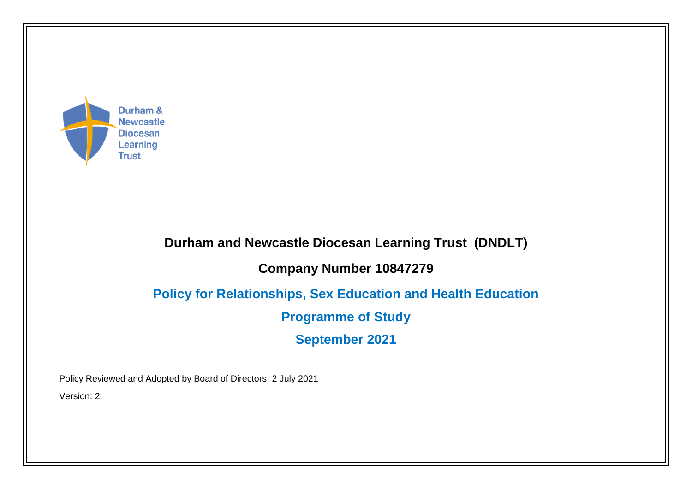

## **Durham and Newcastle Diocesan Learning Trust (DNDLT)**

## **Company Number 10847279**

## **Policy for Relationships, Sex Education and Health Education**

**Programme of Study**

**September 2021**

Policy Reviewed and Adopted by Board of Directors: 2 July 2021

Version: 2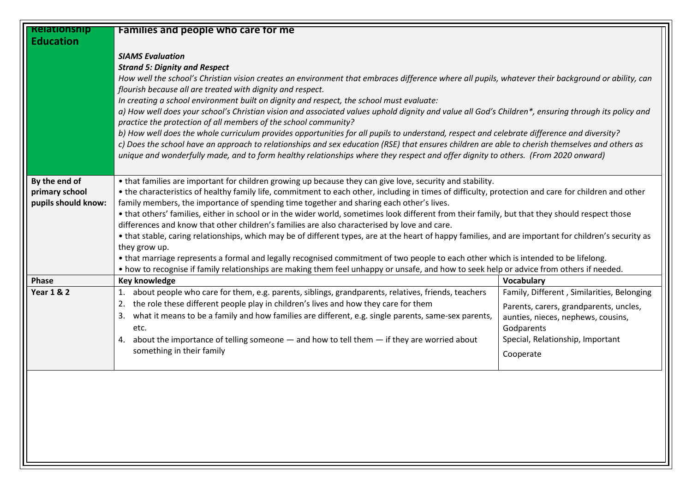| <b>Relationship</b>   | Families and people who care for me                                                                                                                                                                                                                                                              |                                                                              |  |
|-----------------------|--------------------------------------------------------------------------------------------------------------------------------------------------------------------------------------------------------------------------------------------------------------------------------------------------|------------------------------------------------------------------------------|--|
| <b>Education</b>      |                                                                                                                                                                                                                                                                                                  |                                                                              |  |
|                       | <b>SIAMS Evaluation</b>                                                                                                                                                                                                                                                                          |                                                                              |  |
|                       | <b>Strand 5: Dignity and Respect</b>                                                                                                                                                                                                                                                             |                                                                              |  |
|                       | How well the school's Christian vision creates an environment that embraces difference where all pupils, whatever their background or ability, can                                                                                                                                               |                                                                              |  |
|                       | flourish because all are treated with dignity and respect.                                                                                                                                                                                                                                       |                                                                              |  |
|                       | In creating a school environment built on dignity and respect, the school must evaluate:                                                                                                                                                                                                         |                                                                              |  |
|                       | a) How well does your school's Christian vision and associated values uphold dignity and value all God's Children*, ensuring through its policy and                                                                                                                                              |                                                                              |  |
|                       | practice the protection of all members of the school community?<br>b) How well does the whole curriculum provides opportunities for all pupils to understand, respect and celebrate difference and diversity?                                                                                    |                                                                              |  |
|                       | c) Does the school have an approach to relationships and sex education (RSE) that ensures children are able to cherish themselves and others as                                                                                                                                                  |                                                                              |  |
|                       | unique and wonderfully made, and to form healthy relationships where they respect and offer dignity to others. (From 2020 onward)                                                                                                                                                                |                                                                              |  |
|                       |                                                                                                                                                                                                                                                                                                  |                                                                              |  |
| By the end of         | • that families are important for children growing up because they can give love, security and stability.                                                                                                                                                                                        |                                                                              |  |
| primary school        | . the characteristics of healthy family life, commitment to each other, including in times of difficulty, protection and care for children and other                                                                                                                                             |                                                                              |  |
| pupils should know:   | family members, the importance of spending time together and sharing each other's lives.                                                                                                                                                                                                         |                                                                              |  |
|                       | . that others' families, either in school or in the wider world, sometimes look different from their family, but that they should respect those                                                                                                                                                  |                                                                              |  |
|                       | differences and know that other children's families are also characterised by love and care.                                                                                                                                                                                                     |                                                                              |  |
|                       | • that stable, caring relationships, which may be of different types, are at the heart of happy families, and are important for children's security as                                                                                                                                           |                                                                              |  |
|                       | they grow up.<br>• that marriage represents a formal and legally recognised commitment of two people to each other which is intended to be lifelong.<br>• how to recognise if family relationships are making them feel unhappy or unsafe, and how to seek help or advice from others if needed. |                                                                              |  |
|                       |                                                                                                                                                                                                                                                                                                  |                                                                              |  |
| Phase                 | Key knowledge                                                                                                                                                                                                                                                                                    | <b>Vocabulary</b>                                                            |  |
| <b>Year 1 &amp; 2</b> | about people who care for them, e.g. parents, siblings, grandparents, relatives, friends, teachers<br>1.                                                                                                                                                                                         | Family, Different, Similarities, Belonging                                   |  |
|                       | the role these different people play in children's lives and how they care for them<br>2.                                                                                                                                                                                                        |                                                                              |  |
|                       | what it means to be a family and how families are different, e.g. single parents, same-sex parents,<br>3.                                                                                                                                                                                        | Parents, carers, grandparents, uncles,<br>aunties, nieces, nephews, cousins, |  |
|                       | etc.                                                                                                                                                                                                                                                                                             | Godparents                                                                   |  |
|                       | about the importance of telling someone $-$ and how to tell them $-$ if they are worried about<br>4.                                                                                                                                                                                             | Special, Relationship, Important                                             |  |
|                       | something in their family                                                                                                                                                                                                                                                                        | Cooperate                                                                    |  |
|                       |                                                                                                                                                                                                                                                                                                  |                                                                              |  |
|                       |                                                                                                                                                                                                                                                                                                  |                                                                              |  |
|                       |                                                                                                                                                                                                                                                                                                  |                                                                              |  |
|                       |                                                                                                                                                                                                                                                                                                  |                                                                              |  |
|                       |                                                                                                                                                                                                                                                                                                  |                                                                              |  |
|                       |                                                                                                                                                                                                                                                                                                  |                                                                              |  |
|                       |                                                                                                                                                                                                                                                                                                  |                                                                              |  |
|                       |                                                                                                                                                                                                                                                                                                  |                                                                              |  |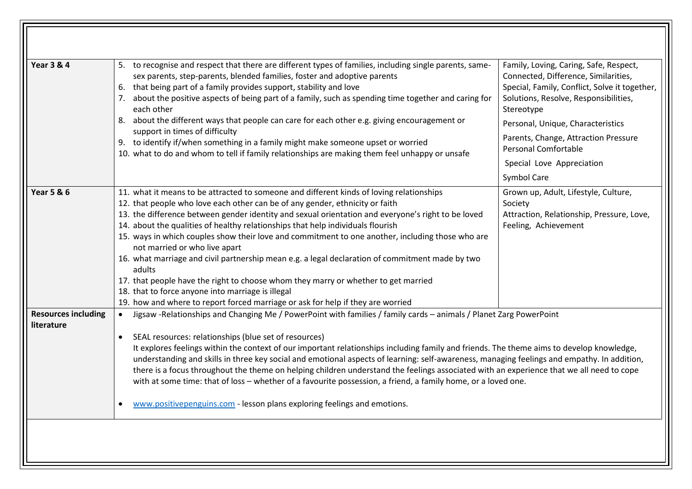| <b>Year 3 &amp; 4</b>                    | 5. to recognise and respect that there are different types of families, including single parents, same-<br>sex parents, step-parents, blended families, foster and adoptive parents<br>6. that being part of a family provides support, stability and love<br>7. about the positive aspects of being part of a family, such as spending time together and caring for<br>each other<br>8. about the different ways that people can care for each other e.g. giving encouragement or<br>support in times of difficulty<br>9. to identify if/when something in a family might make someone upset or worried<br>10. what to do and whom to tell if family relationships are making them feel unhappy or unsafe                                                                                                                                        | Family, Loving, Caring, Safe, Respect,<br>Connected, Difference, Similarities,<br>Special, Family, Conflict, Solve it together,<br>Solutions, Resolve, Responsibilities,<br>Stereotype<br>Personal, Unique, Characteristics<br>Parents, Change, Attraction Pressure<br>Personal Comfortable<br>Special Love Appreciation<br>Symbol Care |  |
|------------------------------------------|---------------------------------------------------------------------------------------------------------------------------------------------------------------------------------------------------------------------------------------------------------------------------------------------------------------------------------------------------------------------------------------------------------------------------------------------------------------------------------------------------------------------------------------------------------------------------------------------------------------------------------------------------------------------------------------------------------------------------------------------------------------------------------------------------------------------------------------------------|-----------------------------------------------------------------------------------------------------------------------------------------------------------------------------------------------------------------------------------------------------------------------------------------------------------------------------------------|--|
| <b>Year 5 &amp; 6</b>                    | 11. what it means to be attracted to someone and different kinds of loving relationships<br>12. that people who love each other can be of any gender, ethnicity or faith<br>13. the difference between gender identity and sexual orientation and everyone's right to be loved<br>14. about the qualities of healthy relationships that help individuals flourish<br>15. ways in which couples show their love and commitment to one another, including those who are<br>not married or who live apart<br>16. what marriage and civil partnership mean e.g. a legal declaration of commitment made by two<br>adults<br>17. that people have the right to choose whom they marry or whether to get married<br>18. that to force anyone into marriage is illegal<br>19. how and where to report forced marriage or ask for help if they are worried | Grown up, Adult, Lifestyle, Culture,<br>Society<br>Attraction, Relationship, Pressure, Love,<br>Feeling, Achievement                                                                                                                                                                                                                    |  |
| <b>Resources including</b><br>literature | Jigsaw -Relationships and Changing Me / PowerPoint with families / family cards - animals / Planet Zarg PowerPoint<br>SEAL resources: relationships (blue set of resources)<br>It explores feelings within the context of our important relationships including family and friends. The theme aims to develop knowledge,<br>understanding and skills in three key social and emotional aspects of learning: self-awareness, managing feelings and empathy. In addition,<br>there is a focus throughout the theme on helping children understand the feelings associated with an experience that we all need to cope<br>with at some time: that of loss - whether of a favourite possession, a friend, a family home, or a loved one.<br>www.positivepenguins.com - lesson plans exploring feelings and emotions.                                  |                                                                                                                                                                                                                                                                                                                                         |  |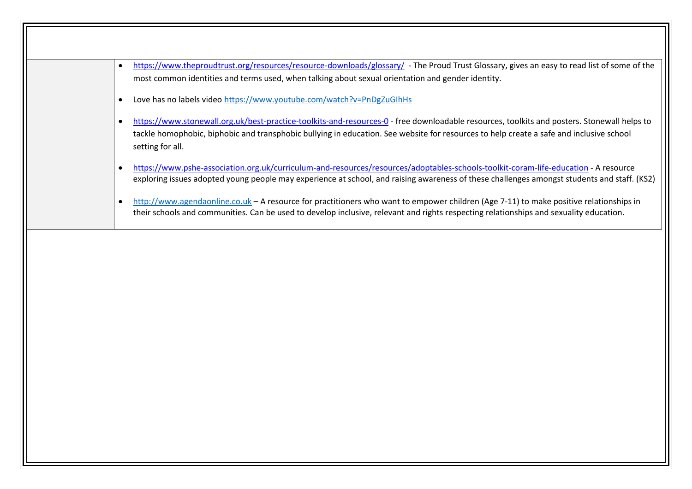- <https://www.theproudtrust.org/resources/resource-downloads/glossary/> The Proud Trust Glossary, gives an easy to read list of some of the most common identities and terms used, when talking about sexual orientation and gender identity.
- Love has no labels vide[o https://www.youtube.com/watch?v=PnDgZuGIhHs](https://www.youtube.com/watch?v=PnDgZuGIhHs)
- <https://www.stonewall.org.uk/best-practice-toolkits-and-resources-0> free downloadable resources, toolkits and posters. Stonewall helps to tackle homophobic, biphobic and transphobic bullying in education. See website for resources to help create a safe and inclusive school setting for all.
- <https://www.pshe-association.org.uk/curriculum-and-resources/resources/adoptables-schools-toolkit-coram-life-education> A resource exploring issues adopted young people may experience at school, and raising awareness of these challenges amongst students and staff. (KS2)
- [http://www.agendaonline.co.uk](http://www.agendaonline.co.uk/) A resource for practitioners who want to empower children (Age 7-11) to make positive relationships in their schools and communities. Can be used to develop inclusive, relevant and rights respecting relationships and sexuality education.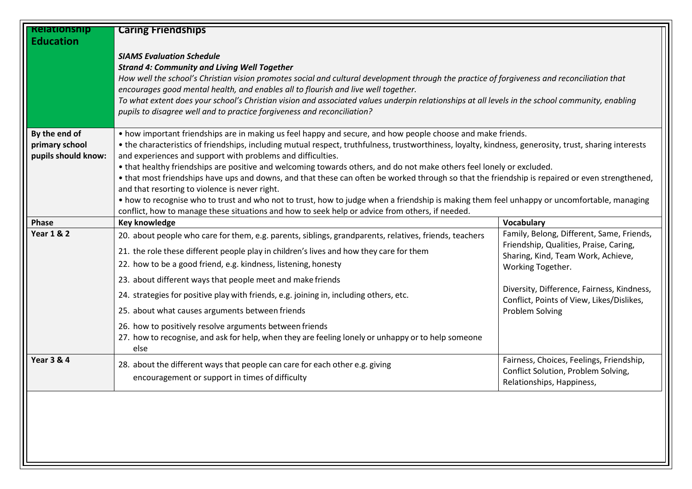| <b>Relationship</b><br><b>Education</b>                | <b>Caring Friendships</b>                                                                                                                                                                                                                                                                                                                                                                                                                                                                                                                                                                                                                                                                                                                                                                                                                                                                                            |                                                                                                                                                                                                                                                                     |
|--------------------------------------------------------|----------------------------------------------------------------------------------------------------------------------------------------------------------------------------------------------------------------------------------------------------------------------------------------------------------------------------------------------------------------------------------------------------------------------------------------------------------------------------------------------------------------------------------------------------------------------------------------------------------------------------------------------------------------------------------------------------------------------------------------------------------------------------------------------------------------------------------------------------------------------------------------------------------------------|---------------------------------------------------------------------------------------------------------------------------------------------------------------------------------------------------------------------------------------------------------------------|
|                                                        | <b>SIAMS Evaluation Schedule</b><br><b>Strand 4: Community and Living Well Together</b><br>How well the school's Christian vision promotes social and cultural development through the practice of forgiveness and reconciliation that<br>encourages good mental health, and enables all to flourish and live well together.<br>To what extent does your school's Christian vision and associated values underpin relationships at all levels in the school community, enabling                                                                                                                                                                                                                                                                                                                                                                                                                                      |                                                                                                                                                                                                                                                                     |
|                                                        | pupils to disagree well and to practice forgiveness and reconciliation?                                                                                                                                                                                                                                                                                                                                                                                                                                                                                                                                                                                                                                                                                                                                                                                                                                              |                                                                                                                                                                                                                                                                     |
| By the end of<br>primary school<br>pupils should know: | • how important friendships are in making us feel happy and secure, and how people choose and make friends.<br>• the characteristics of friendships, including mutual respect, truthfulness, trustworthiness, loyalty, kindness, generosity, trust, sharing interests<br>and experiences and support with problems and difficulties.<br>• that healthy friendships are positive and welcoming towards others, and do not make others feel lonely or excluded.<br>• that most friendships have ups and downs, and that these can often be worked through so that the friendship is repaired or even strengthened,<br>and that resorting to violence is never right.<br>• how to recognise who to trust and who not to trust, how to judge when a friendship is making them feel unhappy or uncomfortable, managing<br>conflict, how to manage these situations and how to seek help or advice from others, if needed. |                                                                                                                                                                                                                                                                     |
| Phase                                                  | Key knowledge                                                                                                                                                                                                                                                                                                                                                                                                                                                                                                                                                                                                                                                                                                                                                                                                                                                                                                        | Vocabulary                                                                                                                                                                                                                                                          |
| <b>Year 1 &amp; 2</b>                                  | 20. about people who care for them, e.g. parents, siblings, grandparents, relatives, friends, teachers<br>21. the role these different people play in children's lives and how they care for them<br>22. how to be a good friend, e.g. kindness, listening, honesty<br>23. about different ways that people meet and make friends<br>24. strategies for positive play with friends, e.g. joining in, including others, etc.<br>25. about what causes arguments between friends<br>26. how to positively resolve arguments between friends<br>27. how to recognise, and ask for help, when they are feeling lonely or unhappy or to help someone<br>else                                                                                                                                                                                                                                                              | Family, Belong, Different, Same, Friends,<br>Friendship, Qualities, Praise, Caring,<br>Sharing, Kind, Team Work, Achieve,<br>Working Together.<br>Diversity, Difference, Fairness, Kindness,<br>Conflict, Points of View, Likes/Dislikes,<br><b>Problem Solving</b> |
| <b>Year 3 &amp; 4</b>                                  | 28. about the different ways that people can care for each other e.g. giving<br>encouragement or support in times of difficulty                                                                                                                                                                                                                                                                                                                                                                                                                                                                                                                                                                                                                                                                                                                                                                                      | Fairness, Choices, Feelings, Friendship,<br>Conflict Solution, Problem Solving,<br>Relationships, Happiness,                                                                                                                                                        |
|                                                        |                                                                                                                                                                                                                                                                                                                                                                                                                                                                                                                                                                                                                                                                                                                                                                                                                                                                                                                      |                                                                                                                                                                                                                                                                     |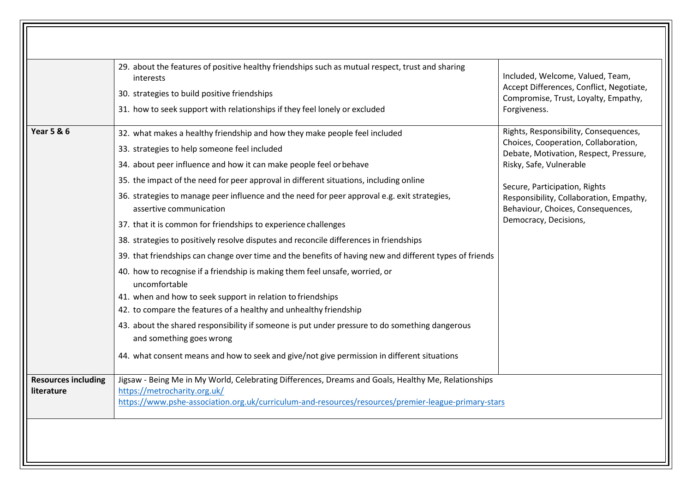|                                          | 29. about the features of positive healthy friendships such as mutual respect, trust and sharing<br>interests<br>30. strategies to build positive friendships<br>31. how to seek support with relationships if they feel lonely or excluded                                                                                                                                                                                                                                                                                                                                                                                                                                                                                                                                                                                                                                                                                                                                                                                                                                                                                                                    | Included, Welcome, Valued, Team,<br>Accept Differences, Conflict, Negotiate,<br>Compromise, Trust, Loyalty, Empathy,<br>Forgiveness.                                                                                                                                                         |
|------------------------------------------|----------------------------------------------------------------------------------------------------------------------------------------------------------------------------------------------------------------------------------------------------------------------------------------------------------------------------------------------------------------------------------------------------------------------------------------------------------------------------------------------------------------------------------------------------------------------------------------------------------------------------------------------------------------------------------------------------------------------------------------------------------------------------------------------------------------------------------------------------------------------------------------------------------------------------------------------------------------------------------------------------------------------------------------------------------------------------------------------------------------------------------------------------------------|----------------------------------------------------------------------------------------------------------------------------------------------------------------------------------------------------------------------------------------------------------------------------------------------|
| <b>Year 5 &amp; 6</b>                    | 32. what makes a healthy friendship and how they make people feel included<br>33. strategies to help someone feel included<br>34. about peer influence and how it can make people feel or behave<br>35. the impact of the need for peer approval in different situations, including online<br>36. strategies to manage peer influence and the need for peer approval e.g. exit strategies,<br>assertive communication<br>37. that it is common for friendships to experience challenges<br>38. strategies to positively resolve disputes and reconcile differences in friendships<br>39. that friendships can change over time and the benefits of having new and different types of friends<br>40. how to recognise if a friendship is making them feel unsafe, worried, or<br>uncomfortable<br>41. when and how to seek support in relation to friendships<br>42. to compare the features of a healthy and unhealthy friendship<br>43. about the shared responsibility if someone is put under pressure to do something dangerous<br>and something goes wrong<br>44. what consent means and how to seek and give/not give permission in different situations | Rights, Responsibility, Consequences,<br>Choices, Cooperation, Collaboration,<br>Debate, Motivation, Respect, Pressure,<br>Risky, Safe, Vulnerable<br>Secure, Participation, Rights<br>Responsibility, Collaboration, Empathy,<br>Behaviour, Choices, Consequences,<br>Democracy, Decisions, |
| <b>Resources including</b><br>literature | Jigsaw - Being Me in My World, Celebrating Differences, Dreams and Goals, Healthy Me, Relationships<br>https://metrocharity.org.uk/<br>https://www.pshe-association.org.uk/curriculum-and-resources/resources/premier-league-primary-stars                                                                                                                                                                                                                                                                                                                                                                                                                                                                                                                                                                                                                                                                                                                                                                                                                                                                                                                     |                                                                                                                                                                                                                                                                                              |

 $\sqrt{\sqrt{2}}$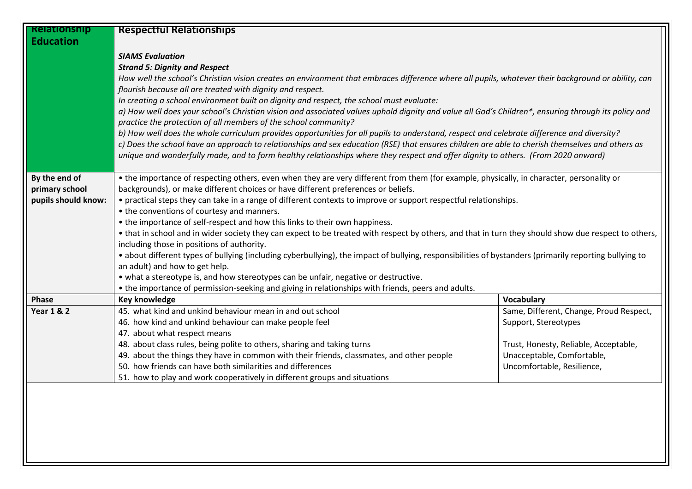| <b>Relationship</b>                                                                                                                     | <b>Respectful Relationships</b>                                                                                                                                                                      |                                         |  |
|-----------------------------------------------------------------------------------------------------------------------------------------|------------------------------------------------------------------------------------------------------------------------------------------------------------------------------------------------------|-----------------------------------------|--|
| <b>Education</b>                                                                                                                        |                                                                                                                                                                                                      |                                         |  |
|                                                                                                                                         | <b>SIAMS Evaluation</b>                                                                                                                                                                              |                                         |  |
|                                                                                                                                         | <b>Strand 5: Dignity and Respect</b>                                                                                                                                                                 |                                         |  |
|                                                                                                                                         | How well the school's Christian vision creates an environment that embraces difference where all pupils, whatever their background or ability, can                                                   |                                         |  |
|                                                                                                                                         | flourish because all are treated with dignity and respect.                                                                                                                                           |                                         |  |
|                                                                                                                                         | In creating a school environment built on dignity and respect, the school must evaluate:                                                                                                             |                                         |  |
|                                                                                                                                         | a) How well does your school's Christian vision and associated values uphold dignity and value all God's Children*, ensuring through its policy and                                                  |                                         |  |
|                                                                                                                                         | practice the protection of all members of the school community?                                                                                                                                      |                                         |  |
|                                                                                                                                         | b) How well does the whole curriculum provides opportunities for all pupils to understand, respect and celebrate difference and diversity?                                                           |                                         |  |
|                                                                                                                                         | c) Does the school have an approach to relationships and sex education (RSE) that ensures children are able to cherish themselves and others as                                                      |                                         |  |
|                                                                                                                                         | unique and wonderfully made, and to form healthy relationships where they respect and offer dignity to others. (From 2020 onward)                                                                    |                                         |  |
|                                                                                                                                         |                                                                                                                                                                                                      |                                         |  |
| By the end of                                                                                                                           | • the importance of respecting others, even when they are very different from them (for example, physically, in character, personality or                                                            |                                         |  |
| primary school                                                                                                                          | backgrounds), or make different choices or have different preferences or beliefs.                                                                                                                    |                                         |  |
| pupils should know:<br>• practical steps they can take in a range of different contexts to improve or support respectful relationships. |                                                                                                                                                                                                      |                                         |  |
|                                                                                                                                         | • the conventions of courtesy and manners.                                                                                                                                                           |                                         |  |
|                                                                                                                                         | • the importance of self-respect and how this links to their own happiness.                                                                                                                          |                                         |  |
|                                                                                                                                         | • that in school and in wider society they can expect to be treated with respect by others, and that in turn they should show due respect to others,                                                 |                                         |  |
|                                                                                                                                         | including those in positions of authority.<br>• about different types of bullying (including cyberbullying), the impact of bullying, responsibilities of bystanders (primarily reporting bullying to |                                         |  |
|                                                                                                                                         | an adult) and how to get help.                                                                                                                                                                       |                                         |  |
|                                                                                                                                         | • what a stereotype is, and how stereotypes can be unfair, negative or destructive.                                                                                                                  |                                         |  |
|                                                                                                                                         | • the importance of permission-seeking and giving in relationships with friends, peers and adults.                                                                                                   |                                         |  |
| Phase                                                                                                                                   | Key knowledge                                                                                                                                                                                        | Vocabulary                              |  |
| <b>Year 1 &amp; 2</b>                                                                                                                   | 45. what kind and unkind behaviour mean in and out school                                                                                                                                            | Same, Different, Change, Proud Respect, |  |
|                                                                                                                                         | 46. how kind and unkind behaviour can make people feel                                                                                                                                               | Support, Stereotypes                    |  |
|                                                                                                                                         | 47. about what respect means                                                                                                                                                                         |                                         |  |
|                                                                                                                                         | 48. about class rules, being polite to others, sharing and taking turns                                                                                                                              | Trust, Honesty, Reliable, Acceptable,   |  |
|                                                                                                                                         | 49. about the things they have in common with their friends, classmates, and other people                                                                                                            | Unacceptable, Comfortable,              |  |
|                                                                                                                                         | 50. how friends can have both similarities and differences                                                                                                                                           | Uncomfortable, Resilience,              |  |
|                                                                                                                                         | 51. how to play and work cooperatively in different groups and situations                                                                                                                            |                                         |  |
|                                                                                                                                         |                                                                                                                                                                                                      |                                         |  |
|                                                                                                                                         |                                                                                                                                                                                                      |                                         |  |
|                                                                                                                                         |                                                                                                                                                                                                      |                                         |  |
|                                                                                                                                         |                                                                                                                                                                                                      |                                         |  |
|                                                                                                                                         |                                                                                                                                                                                                      |                                         |  |
|                                                                                                                                         |                                                                                                                                                                                                      |                                         |  |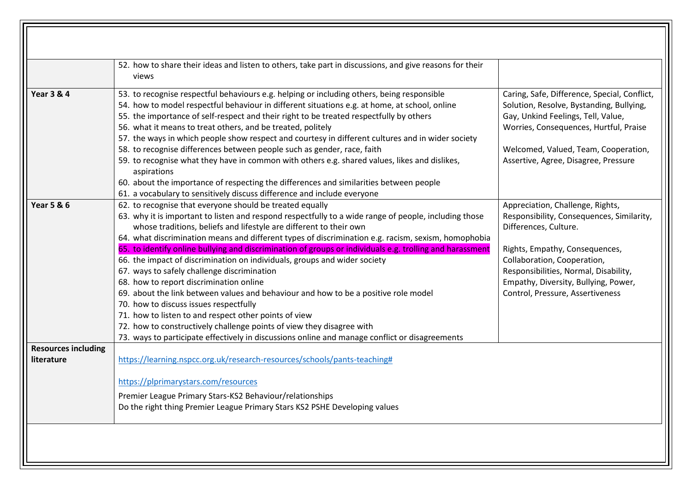|                                          | 52. how to share their ideas and listen to others, take part in discussions, and give reasons for their<br>views                                                                                                                                                                                                                                                                                                                                                                                                                                                                                                                                                                                                                                                                                                                                                                                                                           |                                                                                                                                                                                                                                                          |
|------------------------------------------|--------------------------------------------------------------------------------------------------------------------------------------------------------------------------------------------------------------------------------------------------------------------------------------------------------------------------------------------------------------------------------------------------------------------------------------------------------------------------------------------------------------------------------------------------------------------------------------------------------------------------------------------------------------------------------------------------------------------------------------------------------------------------------------------------------------------------------------------------------------------------------------------------------------------------------------------|----------------------------------------------------------------------------------------------------------------------------------------------------------------------------------------------------------------------------------------------------------|
| <b>Year 3 &amp; 4</b>                    | 53. to recognise respectful behaviours e.g. helping or including others, being responsible<br>54. how to model respectful behaviour in different situations e.g. at home, at school, online<br>55. the importance of self-respect and their right to be treated respectfully by others<br>56. what it means to treat others, and be treated, politely<br>57. the ways in which people show respect and courtesy in different cultures and in wider society<br>58. to recognise differences between people such as gender, race, faith<br>59. to recognise what they have in common with others e.g. shared values, likes and dislikes,<br>aspirations<br>60. about the importance of respecting the differences and similarities between people                                                                                                                                                                                            | Caring, Safe, Difference, Special, Conflict,<br>Solution, Resolve, Bystanding, Bullying,<br>Gay, Unkind Feelings, Tell, Value,<br>Worries, Consequences, Hurtful, Praise<br>Welcomed, Valued, Team, Cooperation,<br>Assertive, Agree, Disagree, Pressure |
| <b>Year 5 &amp; 6</b>                    | 61. a vocabulary to sensitively discuss difference and include everyone<br>62. to recognise that everyone should be treated equally                                                                                                                                                                                                                                                                                                                                                                                                                                                                                                                                                                                                                                                                                                                                                                                                        | Appreciation, Challenge, Rights,                                                                                                                                                                                                                         |
|                                          | 63. why it is important to listen and respond respectfully to a wide range of people, including those<br>whose traditions, beliefs and lifestyle are different to their own<br>64. what discrimination means and different types of discrimination e.g. racism, sexism, homophobia<br>65. to identify online bullying and discrimination of groups or individuals e.g. trolling and harassment<br>66. the impact of discrimination on individuals, groups and wider society<br>67. ways to safely challenge discrimination<br>68. how to report discrimination online<br>69. about the link between values and behaviour and how to be a positive role model<br>70. how to discuss issues respectfully<br>71. how to listen to and respect other points of view<br>72. how to constructively challenge points of view they disagree with<br>73. ways to participate effectively in discussions online and manage conflict or disagreements | Responsibility, Consequences, Similarity,<br>Differences, Culture.<br>Rights, Empathy, Consequences,<br>Collaboration, Cooperation,<br>Responsibilities, Normal, Disability,<br>Empathy, Diversity, Bullying, Power,<br>Control, Pressure, Assertiveness |
| <b>Resources including</b><br>literature | https://learning.nspcc.org.uk/research-resources/schools/pants-teaching#<br>https://plprimarystars.com/resources                                                                                                                                                                                                                                                                                                                                                                                                                                                                                                                                                                                                                                                                                                                                                                                                                           |                                                                                                                                                                                                                                                          |
|                                          | Premier League Primary Stars-KS2 Behaviour/relationships<br>Do the right thing Premier League Primary Stars KS2 PSHE Developing values                                                                                                                                                                                                                                                                                                                                                                                                                                                                                                                                                                                                                                                                                                                                                                                                     |                                                                                                                                                                                                                                                          |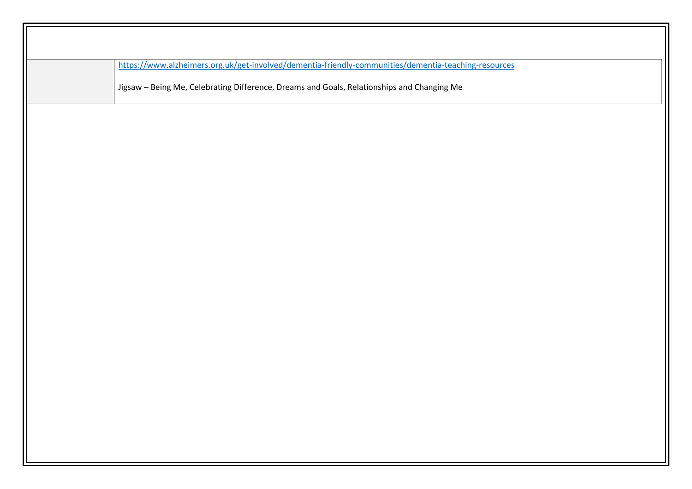| https://www.alzheimers.org.uk/get-involved/dementia-friendly-communities/dementia-teaching-resources |
|------------------------------------------------------------------------------------------------------|
| Jigsaw - Being Me, Celebrating Difference, Dreams and Goals, Relationships and Changing Me           |
|                                                                                                      |
|                                                                                                      |
|                                                                                                      |
|                                                                                                      |
|                                                                                                      |
|                                                                                                      |
|                                                                                                      |
|                                                                                                      |
|                                                                                                      |
|                                                                                                      |
|                                                                                                      |
|                                                                                                      |
|                                                                                                      |
|                                                                                                      |
|                                                                                                      |
|                                                                                                      |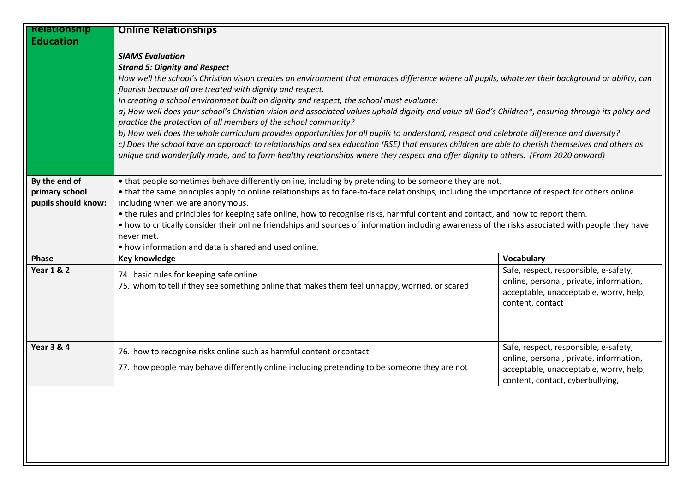| <b>Relationship</b>   | <b>Online Relationships</b>                                                                                                                         |                                         |  |
|-----------------------|-----------------------------------------------------------------------------------------------------------------------------------------------------|-----------------------------------------|--|
| <b>Education</b>      |                                                                                                                                                     |                                         |  |
|                       | <b>SIAMS Evaluation</b>                                                                                                                             |                                         |  |
|                       | <b>Strand 5: Dignity and Respect</b>                                                                                                                |                                         |  |
|                       | How well the school's Christian vision creates an environment that embraces difference where all pupils, whatever their background or ability, can  |                                         |  |
|                       | flourish because all are treated with dignity and respect.                                                                                          |                                         |  |
|                       | In creating a school environment built on dignity and respect, the school must evaluate:                                                            |                                         |  |
|                       | a) How well does your school's Christian vision and associated values uphold dignity and value all God's Children*, ensuring through its policy and |                                         |  |
|                       | practice the protection of all members of the school community?                                                                                     |                                         |  |
|                       | b) How well does the whole curriculum provides opportunities for all pupils to understand, respect and celebrate difference and diversity?          |                                         |  |
|                       | c) Does the school have an approach to relationships and sex education (RSE) that ensures children are able to cherish themselves and others as     |                                         |  |
|                       | unique and wonderfully made, and to form healthy relationships where they respect and offer dignity to others. (From 2020 onward)                   |                                         |  |
|                       |                                                                                                                                                     |                                         |  |
| By the end of         | • that people sometimes behave differently online, including by pretending to be someone they are not.                                              |                                         |  |
| primary school        | • that the same principles apply to online relationships as to face-to-face relationships, including the importance of respect for others online    |                                         |  |
| pupils should know:   | including when we are anonymous.                                                                                                                    |                                         |  |
|                       | • the rules and principles for keeping safe online, how to recognise risks, harmful content and contact, and how to report them.                    |                                         |  |
|                       | • how to critically consider their online friendships and sources of information including awareness of the risks associated with people they have  |                                         |  |
|                       | never met.                                                                                                                                          |                                         |  |
|                       | • how information and data is shared and used online.                                                                                               |                                         |  |
| Phase                 | Key knowledge                                                                                                                                       | <b>Vocabulary</b>                       |  |
| <b>Year 1 &amp; 2</b> | 74. basic rules for keeping safe online                                                                                                             | Safe, respect, responsible, e-safety,   |  |
|                       | 75. whom to tell if they see something online that makes them feel unhappy, worried, or scared                                                      | online, personal, private, information, |  |
|                       |                                                                                                                                                     | acceptable, unacceptable, worry, help,  |  |
|                       |                                                                                                                                                     | content, contact                        |  |
|                       |                                                                                                                                                     |                                         |  |
|                       |                                                                                                                                                     |                                         |  |
| <b>Year 3 &amp; 4</b> |                                                                                                                                                     | Safe, respect, responsible, e-safety,   |  |
|                       | 76. how to recognise risks online such as harmful content or contact                                                                                | online, personal, private, information, |  |
|                       | 77. how people may behave differently online including pretending to be someone they are not                                                        | acceptable, unacceptable, worry, help,  |  |
|                       |                                                                                                                                                     | content, contact, cyberbullying,        |  |
|                       |                                                                                                                                                     |                                         |  |
|                       |                                                                                                                                                     |                                         |  |
|                       |                                                                                                                                                     |                                         |  |
|                       |                                                                                                                                                     |                                         |  |
|                       |                                                                                                                                                     |                                         |  |
|                       |                                                                                                                                                     |                                         |  |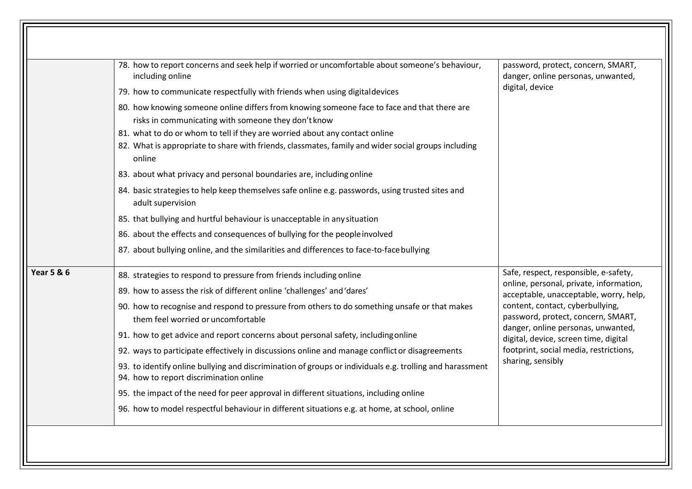|                       | 78. how to report concerns and seek help if worried or uncomfortable about someone's behaviour,<br>including online<br>79. how to communicate respectfully with friends when using digital devices                                                                                                                                                                                                                                                                                                                                                                                                                                                                                                                                                                                                                             | password, protect, concern, SMART,<br>danger, online personas, unwanted,<br>digital, device                                                                                                                                                                                                                                                        |
|-----------------------|--------------------------------------------------------------------------------------------------------------------------------------------------------------------------------------------------------------------------------------------------------------------------------------------------------------------------------------------------------------------------------------------------------------------------------------------------------------------------------------------------------------------------------------------------------------------------------------------------------------------------------------------------------------------------------------------------------------------------------------------------------------------------------------------------------------------------------|----------------------------------------------------------------------------------------------------------------------------------------------------------------------------------------------------------------------------------------------------------------------------------------------------------------------------------------------------|
|                       | 80. how knowing someone online differs from knowing someone face to face and that there are<br>risks in communicating with someone they don't know<br>81. what to do or whom to tell if they are worried about any contact online<br>82. What is appropriate to share with friends, classmates, family and wider social groups including<br>online<br>83. about what privacy and personal boundaries are, including online<br>84. basic strategies to help keep themselves safe online e.g. passwords, using trusted sites and<br>adult supervision<br>85. that bullying and hurtful behaviour is unacceptable in any situation<br>86. about the effects and consequences of bullying for the people involved<br>87. about bullying online, and the similarities and differences to face-to-face bullying                      |                                                                                                                                                                                                                                                                                                                                                    |
| <b>Year 5 &amp; 6</b> | 88. strategies to respond to pressure from friends including online<br>89. how to assess the risk of different online 'challenges' and 'dares'<br>90. how to recognise and respond to pressure from others to do something unsafe or that makes<br>them feel worried or uncomfortable<br>91. how to get advice and report concerns about personal safety, including online<br>92. ways to participate effectively in discussions online and manage conflict or disagreements<br>93. to identify online bullying and discrimination of groups or individuals e.g. trolling and harassment<br>94. how to report discrimination online<br>95. the impact of the need for peer approval in different situations, including online<br>96. how to model respectful behaviour in different situations e.g. at home, at school, online | Safe, respect, responsible, e-safety,<br>online, personal, private, information,<br>acceptable, unacceptable, worry, help,<br>content, contact, cyberbullying,<br>password, protect, concern, SMART,<br>danger, online personas, unwanted,<br>digital, device, screen time, digital<br>footprint, social media, restrictions,<br>sharing, sensibly |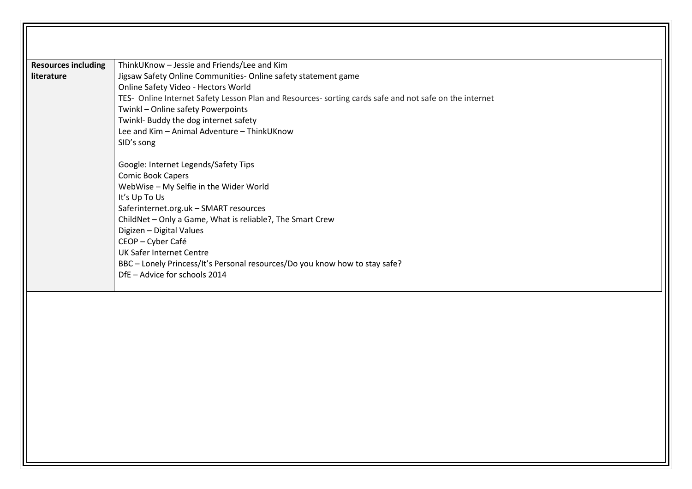| <b>Resources including</b> | ThinkUKnow - Jessie and Friends/Lee and Kim                                                            |
|----------------------------|--------------------------------------------------------------------------------------------------------|
| literature                 | Jigsaw Safety Online Communities- Online safety statement game                                         |
|                            | Online Safety Video - Hectors World                                                                    |
|                            | TES- Online Internet Safety Lesson Plan and Resources- sorting cards safe and not safe on the internet |
|                            | Twinkl - Online safety Powerpoints                                                                     |
|                            | Twinkl- Buddy the dog internet safety                                                                  |
|                            | Lee and Kim - Animal Adventure - ThinkUKnow                                                            |
|                            | SID's song                                                                                             |
|                            | Google: Internet Legends/Safety Tips                                                                   |
|                            | <b>Comic Book Capers</b>                                                                               |
|                            | WebWise - My Selfie in the Wider World                                                                 |
|                            | It's Up To Us                                                                                          |
|                            | Saferinternet.org.uk - SMART resources                                                                 |
|                            | ChildNet - Only a Game, What is reliable?, The Smart Crew                                              |
|                            | Digizen - Digital Values                                                                               |
|                            | CEOP-Cyber Café                                                                                        |
|                            | <b>UK Safer Internet Centre</b>                                                                        |
|                            | BBC - Lonely Princess/It's Personal resources/Do you know how to stay safe?                            |
|                            | DfE - Advice for schools 2014                                                                          |
|                            |                                                                                                        |
|                            |                                                                                                        |
|                            |                                                                                                        |
|                            |                                                                                                        |
|                            |                                                                                                        |
|                            |                                                                                                        |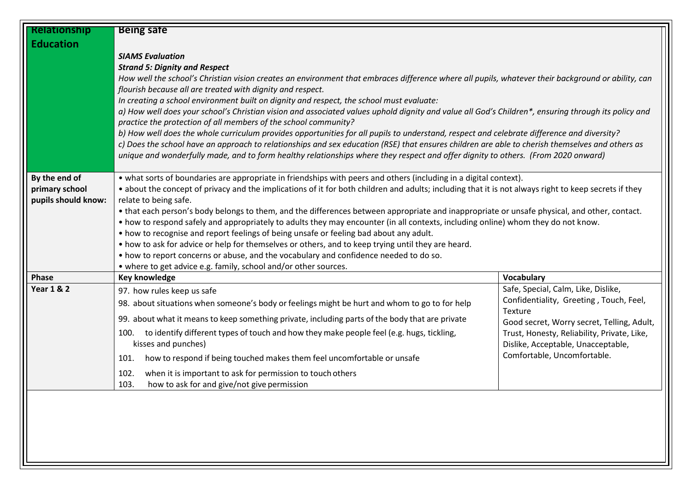| Relationship          | <b>Being safe</b>                                                                                                                                                                                                      |                                                                   |  |
|-----------------------|------------------------------------------------------------------------------------------------------------------------------------------------------------------------------------------------------------------------|-------------------------------------------------------------------|--|
| <b>Education</b>      |                                                                                                                                                                                                                        |                                                                   |  |
|                       | <b>SIAMS Evaluation</b>                                                                                                                                                                                                |                                                                   |  |
|                       | <b>Strand 5: Dignity and Respect</b>                                                                                                                                                                                   |                                                                   |  |
|                       | How well the school's Christian vision creates an environment that embraces difference where all pupils, whatever their background or ability, can                                                                     |                                                                   |  |
|                       | flourish because all are treated with dignity and respect.                                                                                                                                                             |                                                                   |  |
|                       | In creating a school environment built on dignity and respect, the school must evaluate:                                                                                                                               |                                                                   |  |
|                       | a) How well does your school's Christian vision and associated values uphold dignity and value all God's Children*, ensuring through its policy and<br>practice the protection of all members of the school community? |                                                                   |  |
|                       | b) How well does the whole curriculum provides opportunities for all pupils to understand, respect and celebrate difference and diversity?                                                                             |                                                                   |  |
|                       | c) Does the school have an approach to relationships and sex education (RSE) that ensures children are able to cherish themselves and others as                                                                        |                                                                   |  |
|                       | unique and wonderfully made, and to form healthy relationships where they respect and offer dignity to others. (From 2020 onward)                                                                                      |                                                                   |  |
|                       |                                                                                                                                                                                                                        |                                                                   |  |
| By the end of         | • what sorts of boundaries are appropriate in friendships with peers and others (including in a digital context).                                                                                                      |                                                                   |  |
| primary school        | • about the concept of privacy and the implications of it for both children and adults; including that it is not always right to keep secrets if they                                                                  |                                                                   |  |
| pupils should know:   | relate to being safe.                                                                                                                                                                                                  |                                                                   |  |
|                       | • that each person's body belongs to them, and the differences between appropriate and inappropriate or unsafe physical, and other, contact.                                                                           |                                                                   |  |
|                       | • how to respond safely and appropriately to adults they may encounter (in all contexts, including online) whom they do not know.                                                                                      |                                                                   |  |
|                       | • how to recognise and report feelings of being unsafe or feeling bad about any adult.<br>• how to ask for advice or help for themselves or others, and to keep trying until they are heard.                           |                                                                   |  |
|                       | • how to report concerns or abuse, and the vocabulary and confidence needed to do so.                                                                                                                                  |                                                                   |  |
|                       | • where to get advice e.g. family, school and/or other sources.                                                                                                                                                        |                                                                   |  |
| Phase                 | Key knowledge                                                                                                                                                                                                          | Vocabulary                                                        |  |
| <b>Year 1 &amp; 2</b> | 97. how rules keep us safe                                                                                                                                                                                             | Safe, Special, Calm, Like, Dislike,                               |  |
|                       | 98. about situations when someone's body or feelings might be hurt and whom to go to for help                                                                                                                          | Confidentiality, Greeting, Touch, Feel,                           |  |
|                       | 99. about what it means to keep something private, including parts of the body that are private                                                                                                                        | Texture                                                           |  |
|                       |                                                                                                                                                                                                                        | Good secret, Worry secret, Telling, Adult,                        |  |
|                       | to identify different types of touch and how they make people feel (e.g. hugs, tickling,<br>100.<br>kisses and punches)                                                                                                | Trust, Honesty, Reliability, Private, Like,                       |  |
|                       |                                                                                                                                                                                                                        | Dislike, Acceptable, Unacceptable,<br>Comfortable, Uncomfortable. |  |
|                       | how to respond if being touched makes them feel uncomfortable or unsafe<br>101.                                                                                                                                        |                                                                   |  |
|                       | when it is important to ask for permission to touch others<br>102.                                                                                                                                                     |                                                                   |  |
|                       | how to ask for and give/not give permission<br>103.                                                                                                                                                                    |                                                                   |  |
|                       |                                                                                                                                                                                                                        |                                                                   |  |
|                       |                                                                                                                                                                                                                        |                                                                   |  |
|                       |                                                                                                                                                                                                                        |                                                                   |  |
|                       |                                                                                                                                                                                                                        |                                                                   |  |
|                       |                                                                                                                                                                                                                        |                                                                   |  |
|                       |                                                                                                                                                                                                                        |                                                                   |  |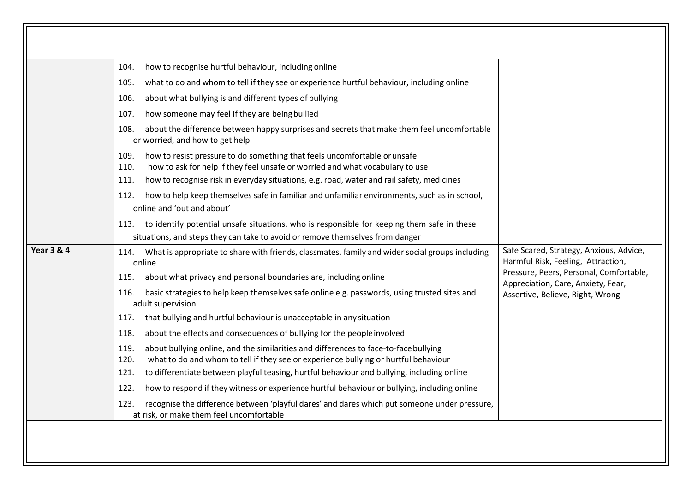|                       | how to recognise hurtful behaviour, including online<br>104.                                                                                                                                |                                                                                                                                                                |
|-----------------------|---------------------------------------------------------------------------------------------------------------------------------------------------------------------------------------------|----------------------------------------------------------------------------------------------------------------------------------------------------------------|
|                       | what to do and whom to tell if they see or experience hurtful behaviour, including online<br>105.                                                                                           |                                                                                                                                                                |
|                       | about what bullying is and different types of bullying<br>106.                                                                                                                              |                                                                                                                                                                |
|                       | how someone may feel if they are being bullied<br>107.                                                                                                                                      |                                                                                                                                                                |
|                       | about the difference between happy surprises and secrets that make them feel uncomfortable<br>108.<br>or worried, and how to get help                                                       |                                                                                                                                                                |
|                       | how to resist pressure to do something that feels uncomfortable or unsafe<br>109.<br>how to ask for help if they feel unsafe or worried and what vocabulary to use<br>110.                  |                                                                                                                                                                |
|                       | how to recognise risk in everyday situations, e.g. road, water and rail safety, medicines<br>111.                                                                                           |                                                                                                                                                                |
|                       | how to help keep themselves safe in familiar and unfamiliar environments, such as in school,<br>112.<br>online and 'out and about'                                                          |                                                                                                                                                                |
|                       | to identify potential unsafe situations, who is responsible for keeping them safe in these<br>113.<br>situations, and steps they can take to avoid or remove themselves from danger         |                                                                                                                                                                |
| <b>Year 3 &amp; 4</b> | What is appropriate to share with friends, classmates, family and wider social groups including<br>114.<br>online                                                                           | Safe Scared, Strategy, Anxious, Advice,<br>Harmful Risk, Feeling, Attraction,<br>Pressure, Peers, Personal, Comfortable,<br>Appreciation, Care, Anxiety, Fear, |
|                       | about what privacy and personal boundaries are, including online<br>115.                                                                                                                    |                                                                                                                                                                |
|                       | basic strategies to help keep themselves safe online e.g. passwords, using trusted sites and<br>116.<br>adult supervision                                                                   | Assertive, Believe, Right, Wrong                                                                                                                               |
|                       | that bullying and hurtful behaviour is unacceptable in any situation<br>117.                                                                                                                |                                                                                                                                                                |
|                       | about the effects and consequences of bullying for the people involved<br>118.                                                                                                              |                                                                                                                                                                |
|                       | about bullying online, and the similarities and differences to face-to-face bullying<br>119.<br>what to do and whom to tell if they see or experience bullying or hurtful behaviour<br>120. |                                                                                                                                                                |
|                       | to differentiate between playful teasing, hurtful behaviour and bullying, including online<br>121.                                                                                          |                                                                                                                                                                |
|                       | how to respond if they witness or experience hurtful behaviour or bullying, including online<br>122.                                                                                        |                                                                                                                                                                |
|                       | recognise the difference between 'playful dares' and dares which put someone under pressure,<br>123.<br>at risk, or make them feel uncomfortable                                            |                                                                                                                                                                |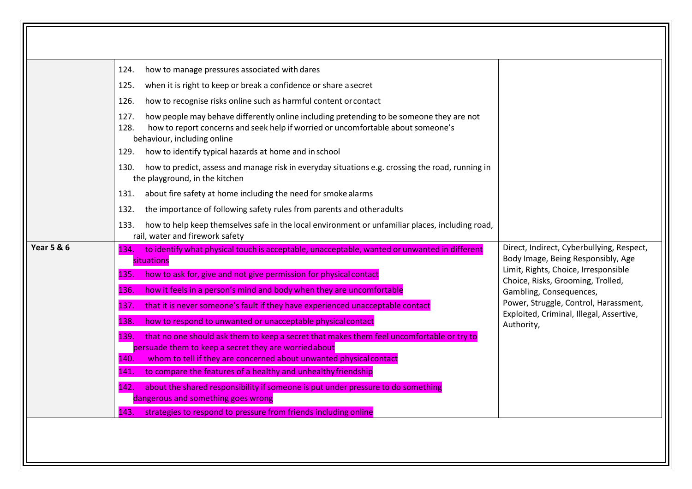|                       | 124.                                                                                                                                                                                                                        |                                                                                                                                                   |
|-----------------------|-----------------------------------------------------------------------------------------------------------------------------------------------------------------------------------------------------------------------------|---------------------------------------------------------------------------------------------------------------------------------------------------|
|                       | how to manage pressures associated with dares                                                                                                                                                                               |                                                                                                                                                   |
|                       | when it is right to keep or break a confidence or share a secret<br>125.                                                                                                                                                    |                                                                                                                                                   |
|                       | how to recognise risks online such as harmful content or contact<br>126.                                                                                                                                                    |                                                                                                                                                   |
|                       | how people may behave differently online including pretending to be someone they are not<br>127.<br>how to report concerns and seek help if worried or uncomfortable about someone's<br>128.<br>behaviour, including online |                                                                                                                                                   |
|                       | how to identify typical hazards at home and in school<br>129.                                                                                                                                                               |                                                                                                                                                   |
|                       | how to predict, assess and manage risk in everyday situations e.g. crossing the road, running in<br>130.<br>the playground, in the kitchen                                                                                  |                                                                                                                                                   |
|                       | about fire safety at home including the need for smoke alarms<br>131.                                                                                                                                                       |                                                                                                                                                   |
|                       | 132.<br>the importance of following safety rules from parents and otheradults                                                                                                                                               |                                                                                                                                                   |
|                       | how to help keep themselves safe in the local environment or unfamiliar places, including road,<br>133.<br>rail, water and firework safety                                                                                  |                                                                                                                                                   |
| <b>Year 5 &amp; 6</b> | to identify what physical touch is acceptable, unacceptable, wanted or unwanted in different<br>134.                                                                                                                        | Direct, Indirect, Cyberbullying, Respect,<br>Body Image, Being Responsibly, Age                                                                   |
|                       | situations                                                                                                                                                                                                                  | Limit, Rights, Choice, Irresponsible                                                                                                              |
|                       | how to ask for, give and not give permission for physical contact<br>135.                                                                                                                                                   | Choice, Risks, Grooming, Trolled,<br>Gambling, Consequences,<br>Power, Struggle, Control, Harassment,<br>Exploited, Criminal, Illegal, Assertive, |
|                       | how it feels in a person's mind and body when they are uncomfortable<br>136.                                                                                                                                                |                                                                                                                                                   |
|                       | that it is never someone's fault if they have experienced unacceptable contact<br>137.                                                                                                                                      |                                                                                                                                                   |
|                       | how to respond to unwanted or unacceptable physical contact<br>138.                                                                                                                                                         | Authority,                                                                                                                                        |
|                       | 139.<br>that no one should ask them to keep a secret that makes them feel uncomfortable or try to                                                                                                                           |                                                                                                                                                   |
|                       | persuade them to keep a secret they are worried about                                                                                                                                                                       |                                                                                                                                                   |
|                       | whom to tell if they are concerned about unwanted physical contact<br>140.                                                                                                                                                  |                                                                                                                                                   |
|                       | to compare the features of a healthy and unhealthy friendship<br>141.                                                                                                                                                       |                                                                                                                                                   |
|                       | about the shared responsibility if someone is put under pressure to do something<br>142.                                                                                                                                    |                                                                                                                                                   |
|                       | dangerous and something goes wrong<br>143.<br>strategies to respond to pressure from friends including online                                                                                                               |                                                                                                                                                   |
|                       |                                                                                                                                                                                                                             |                                                                                                                                                   |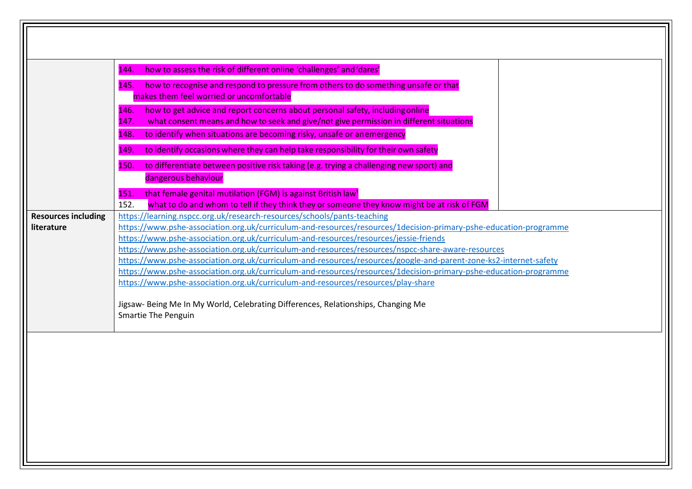|                                          | how to assess the risk of different online 'challenges' and 'dares'<br>144.<br>how to recognise and respond to pressure from others to do something unsafe or that<br>145.<br>makes them feel worried or uncomfortable                                                                                                                                                                                                                                                                                                                                                                                                                                                                                                     |
|------------------------------------------|----------------------------------------------------------------------------------------------------------------------------------------------------------------------------------------------------------------------------------------------------------------------------------------------------------------------------------------------------------------------------------------------------------------------------------------------------------------------------------------------------------------------------------------------------------------------------------------------------------------------------------------------------------------------------------------------------------------------------|
|                                          | how to get advice and report concerns about personal safety, including online<br>146.<br>what consent means and how to seek and give/not give permission in different situations<br>147.<br>to identify when situations are becoming risky, unsafe or anemergency<br>148.                                                                                                                                                                                                                                                                                                                                                                                                                                                  |
|                                          | to identify occasions where they can help take responsibility for their own safety<br>149.<br>to differentiate between positive risk taking (e.g. trying a challenging new sport) and<br>150.                                                                                                                                                                                                                                                                                                                                                                                                                                                                                                                              |
|                                          | dangerous behaviour<br>that female genital mutilation (FGM) is against British law <sup>1</sup><br>151.<br>152.<br>what to do and whom to tell if they think they or someone they know might be at risk of FGM                                                                                                                                                                                                                                                                                                                                                                                                                                                                                                             |
| <b>Resources including</b><br>literature | https://learning.nspcc.org.uk/research-resources/schools/pants-teaching<br>https://www.pshe-association.org.uk/curriculum-and-resources/resources/1decision-primary-pshe-education-programme<br>https://www.pshe-association.org.uk/curriculum-and-resources/resources/jessie-friends<br>https://www.pshe-association.org.uk/curriculum-and-resources/resources/nspcc-share-aware-resources<br>https://www.pshe-association.org.uk/curriculum-and-resources/resources/google-and-parent-zone-ks2-internet-safety<br>https://www.pshe-association.org.uk/curriculum-and-resources/resources/1decision-primary-pshe-education-programme<br>https://www.pshe-association.org.uk/curriculum-and-resources/resources/play-share |
|                                          | Jigsaw- Being Me In My World, Celebrating Differences, Relationships, Changing Me<br><b>Smartie The Penguin</b>                                                                                                                                                                                                                                                                                                                                                                                                                                                                                                                                                                                                            |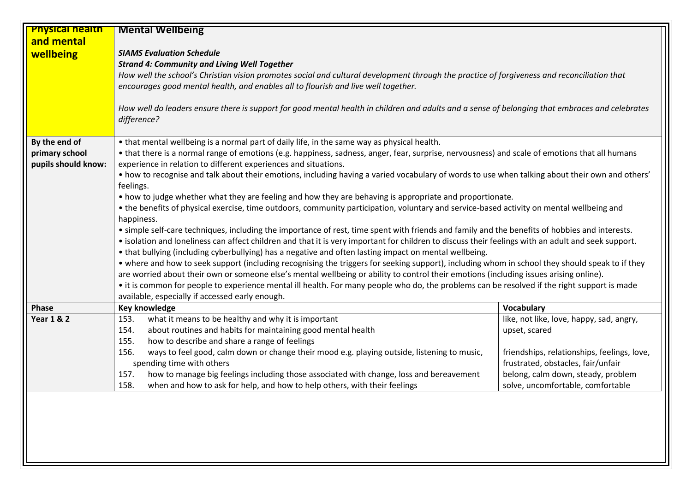| <b>Physical health</b> | <b>Mental Wellbeing</b>                                                                                                                             |                                             |  |
|------------------------|-----------------------------------------------------------------------------------------------------------------------------------------------------|---------------------------------------------|--|
| and mental             |                                                                                                                                                     |                                             |  |
| wellbeing              | <b>SIAMS Evaluation Schedule</b>                                                                                                                    |                                             |  |
|                        | <b>Strand 4: Community and Living Well Together</b>                                                                                                 |                                             |  |
|                        | How well the school's Christian vision promotes social and cultural development through the practice of forgiveness and reconciliation that         |                                             |  |
|                        | encourages good mental health, and enables all to flourish and live well together.                                                                  |                                             |  |
|                        |                                                                                                                                                     |                                             |  |
|                        | How well do leaders ensure there is support for good mental health in children and adults and a sense of belonging that embraces and celebrates     |                                             |  |
|                        | difference?                                                                                                                                         |                                             |  |
|                        |                                                                                                                                                     |                                             |  |
| By the end of          | • that mental wellbeing is a normal part of daily life, in the same way as physical health.                                                         |                                             |  |
| primary school         | • that there is a normal range of emotions (e.g. happiness, sadness, anger, fear, surprise, nervousness) and scale of emotions that all humans      |                                             |  |
| pupils should know:    | experience in relation to different experiences and situations.                                                                                     |                                             |  |
|                        | • how to recognise and talk about their emotions, including having a varied vocabulary of words to use when talking about their own and others'     |                                             |  |
|                        | feelings.                                                                                                                                           |                                             |  |
|                        | • how to judge whether what they are feeling and how they are behaving is appropriate and proportionate.                                            |                                             |  |
|                        | • the benefits of physical exercise, time outdoors, community participation, voluntary and service-based activity on mental wellbeing and           |                                             |  |
|                        | happiness.                                                                                                                                          |                                             |  |
|                        | • simple self-care techniques, including the importance of rest, time spent with friends and family and the benefits of hobbies and interests.      |                                             |  |
|                        | • isolation and loneliness can affect children and that it is very important for children to discuss their feelings with an adult and seek support. |                                             |  |
|                        | • that bullying (including cyberbullying) has a negative and often lasting impact on mental wellbeing.                                              |                                             |  |
|                        | • where and how to seek support (including recognising the triggers for seeking support), including whom in school they should speak to if they     |                                             |  |
|                        | are worried about their own or someone else's mental wellbeing or ability to control their emotions (including issues arising online).              |                                             |  |
|                        | • it is common for people to experience mental ill health. For many people who do, the problems can be resolved if the right support is made        |                                             |  |
|                        | available, especially if accessed early enough.                                                                                                     |                                             |  |
| Phase                  | <b>Key knowledge</b>                                                                                                                                | <b>Vocabulary</b>                           |  |
| <b>Year 1 &amp; 2</b>  | what it means to be healthy and why it is important<br>153.                                                                                         | like, not like, love, happy, sad, angry,    |  |
|                        | 154.<br>about routines and habits for maintaining good mental health                                                                                | upset, scared                               |  |
|                        | how to describe and share a range of feelings<br>155.                                                                                               |                                             |  |
|                        | 156.<br>ways to feel good, calm down or change their mood e.g. playing outside, listening to music,                                                 | friendships, relationships, feelings, love, |  |
|                        | spending time with others                                                                                                                           | frustrated, obstacles, fair/unfair          |  |
|                        | how to manage big feelings including those associated with change, loss and bereavement<br>157.                                                     | belong, calm down, steady, problem          |  |
|                        | when and how to ask for help, and how to help others, with their feelings<br>158.                                                                   | solve, uncomfortable, comfortable           |  |
|                        |                                                                                                                                                     |                                             |  |
|                        |                                                                                                                                                     |                                             |  |
|                        |                                                                                                                                                     |                                             |  |
|                        |                                                                                                                                                     |                                             |  |
|                        |                                                                                                                                                     |                                             |  |
|                        |                                                                                                                                                     |                                             |  |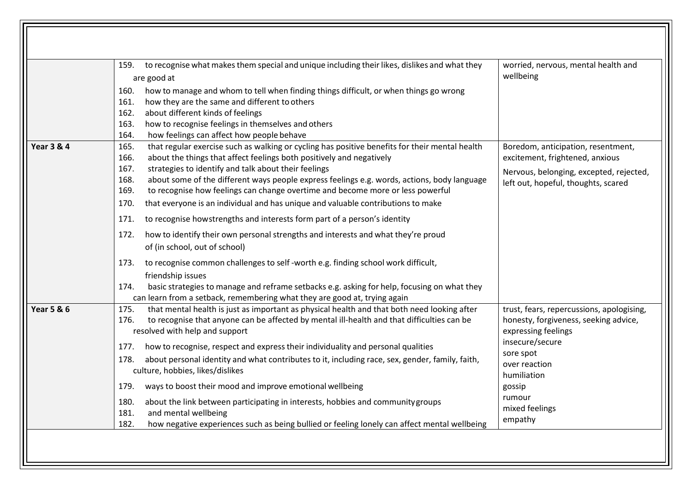|                       | to recognise what makes them special and unique including their likes, dislikes and what they<br>159.<br>are good at<br>how to manage and whom to tell when finding things difficult, or when things go wrong<br>160.<br>how they are the same and different to others<br>161.<br>162.<br>about different kinds of feelings<br>how to recognise feelings in themselves and others<br>163.<br>164.<br>how feelings can affect how people behave                                                                                                                                                                                                                                                                                                                                                                                                                                                                                                                                                                                                                             | worried, nervous, mental health and<br>wellbeing                                                                                                                                                                           |
|-----------------------|----------------------------------------------------------------------------------------------------------------------------------------------------------------------------------------------------------------------------------------------------------------------------------------------------------------------------------------------------------------------------------------------------------------------------------------------------------------------------------------------------------------------------------------------------------------------------------------------------------------------------------------------------------------------------------------------------------------------------------------------------------------------------------------------------------------------------------------------------------------------------------------------------------------------------------------------------------------------------------------------------------------------------------------------------------------------------|----------------------------------------------------------------------------------------------------------------------------------------------------------------------------------------------------------------------------|
| <b>Year 3 &amp; 4</b> | that regular exercise such as walking or cycling has positive benefits for their mental health<br>165.<br>about the things that affect feelings both positively and negatively<br>166.<br>strategies to identify and talk about their feelings<br>167.<br>about some of the different ways people express feelings e.g. words, actions, body language<br>168.<br>to recognise how feelings can change overtime and become more or less powerful<br>169.<br>170.<br>that everyone is an individual and has unique and valuable contributions to make<br>to recognise howstrengths and interests form part of a person's identity<br>171.<br>how to identify their own personal strengths and interests and what they're proud<br>172.<br>of (in school, out of school)<br>to recognise common challenges to self-worth e.g. finding school work difficult,<br>173.<br>friendship issues<br>basic strategies to manage and reframe setbacks e.g. asking for help, focusing on what they<br>174.<br>can learn from a setback, remembering what they are good at, trying again | Boredom, anticipation, resentment,<br>excitement, frightened, anxious<br>Nervous, belonging, excepted, rejected,<br>left out, hopeful, thoughts, scared                                                                    |
| <b>Year 5 &amp; 6</b> | that mental health is just as important as physical health and that both need looking after<br>175.<br>to recognise that anyone can be affected by mental ill-health and that difficulties can be<br>176.<br>resolved with help and support<br>how to recognise, respect and express their individuality and personal qualities<br>177.<br>about personal identity and what contributes to it, including race, sex, gender, family, faith,<br>178.<br>culture, hobbies, likes/dislikes<br>ways to boost their mood and improve emotional wellbeing<br>179.<br>about the link between participating in interests, hobbies and community groups<br>180.<br>and mental wellbeing<br>181.<br>how negative experiences such as being bullied or feeling lonely can affect mental wellbeing<br>182.                                                                                                                                                                                                                                                                              | trust, fears, repercussions, apologising,<br>honesty, forgiveness, seeking advice,<br>expressing feelings<br>insecure/secure<br>sore spot<br>over reaction<br>humiliation<br>gossip<br>rumour<br>mixed feelings<br>empathy |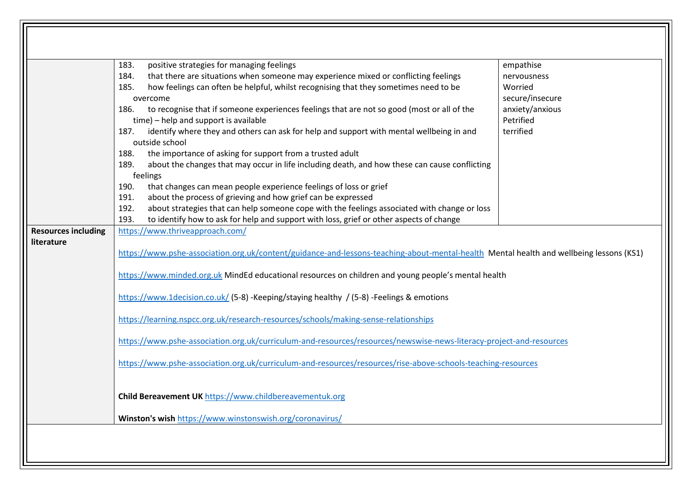|                            | positive strategies for managing feelings<br>183.                                                                                                                                                                                                                                                                                                                                                                                                                                                                                                        | empathise                    |
|----------------------------|----------------------------------------------------------------------------------------------------------------------------------------------------------------------------------------------------------------------------------------------------------------------------------------------------------------------------------------------------------------------------------------------------------------------------------------------------------------------------------------------------------------------------------------------------------|------------------------------|
|                            | that there are situations when someone may experience mixed or conflicting feelings<br>184.                                                                                                                                                                                                                                                                                                                                                                                                                                                              | nervousness                  |
|                            | how feelings can often be helpful, whilst recognising that they sometimes need to be<br>185.                                                                                                                                                                                                                                                                                                                                                                                                                                                             | Worried                      |
|                            | overcome                                                                                                                                                                                                                                                                                                                                                                                                                                                                                                                                                 | secure/insecure              |
|                            | to recognise that if someone experiences feelings that are not so good (most or all of the<br>186.<br>time) - help and support is available                                                                                                                                                                                                                                                                                                                                                                                                              | anxiety/anxious<br>Petrified |
|                            | identify where they and others can ask for help and support with mental wellbeing in and<br>187.<br>outside school                                                                                                                                                                                                                                                                                                                                                                                                                                       | terrified                    |
|                            | the importance of asking for support from a trusted adult<br>188.                                                                                                                                                                                                                                                                                                                                                                                                                                                                                        |                              |
|                            | about the changes that may occur in life including death, and how these can cause conflicting<br>189.<br>feelings                                                                                                                                                                                                                                                                                                                                                                                                                                        |                              |
|                            | that changes can mean people experience feelings of loss or grief<br>190.                                                                                                                                                                                                                                                                                                                                                                                                                                                                                |                              |
|                            | about the process of grieving and how grief can be expressed<br>191.                                                                                                                                                                                                                                                                                                                                                                                                                                                                                     |                              |
|                            | about strategies that can help someone cope with the feelings associated with change or loss<br>192.                                                                                                                                                                                                                                                                                                                                                                                                                                                     |                              |
| <b>Resources including</b> | to identify how to ask for help and support with loss, grief or other aspects of change<br>193.<br>https://www.thriveapproach.com/                                                                                                                                                                                                                                                                                                                                                                                                                       |                              |
| literature                 |                                                                                                                                                                                                                                                                                                                                                                                                                                                                                                                                                          |                              |
|                            | https://www.pshe-association.org.uk/content/guidance-and-lessons-teaching-about-mental-health Mental health and wellbeing lessons (KS1)<br>https://www.minded.org.uk MindEd educational resources on children and young people's mental health<br>https://www.1decision.co.uk/ (5-8) -Keeping/staying healthy / (5-8) -Feelings & emotions<br>https://learning.nspcc.org.uk/research-resources/schools/making-sense-relationships<br>https://www.pshe-association.org.uk/curriculum-and-resources/resources/newswise-news-literacy-project-and-resources |                              |
|                            | https://www.pshe-association.org.uk/curriculum-and-resources/resources/rise-above-schools-teaching-resources<br>Child Bereavement UK https://www.childbereavementuk.org                                                                                                                                                                                                                                                                                                                                                                                  |                              |

 $\sqrt{\sqrt{2}}$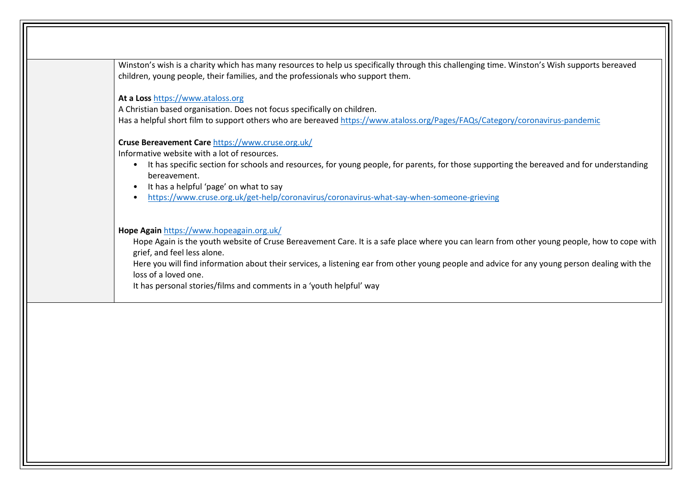| children, young people, their families, and the professionals who support them.                                                                           |
|-----------------------------------------------------------------------------------------------------------------------------------------------------------|
|                                                                                                                                                           |
| At a Loss https://www.ataloss.org                                                                                                                         |
| A Christian based organisation. Does not focus specifically on children.                                                                                  |
| Has a helpful short film to support others who are bereaved https://www.ataloss.org/Pages/FAQs/Category/coronavirus-pandemic                              |
| Cruse Bereavement Care https://www.cruse.org.uk/                                                                                                          |
| Informative website with a lot of resources.                                                                                                              |
| It has specific section for schools and resources, for young people, for parents, for those supporting the bereaved and for understanding<br>bereavement. |
| It has a helpful 'page' on what to say                                                                                                                    |
| https://www.cruse.org.uk/get-help/coronavirus/coronavirus-what-say-when-someone-grieving                                                                  |
| Hope Again https://www.hopeagain.org.uk/                                                                                                                  |
| Hope Again is the youth website of Cruse Bereavement Care. It is a safe place where you can learn from other young people, how to cope with               |
| grief, and feel less alone.                                                                                                                               |
| Here you will find information about their services, a listening ear from other young people and advice for any young person dealing with the             |
| loss of a loved one.                                                                                                                                      |
| It has personal stories/films and comments in a 'youth helpful' way                                                                                       |
|                                                                                                                                                           |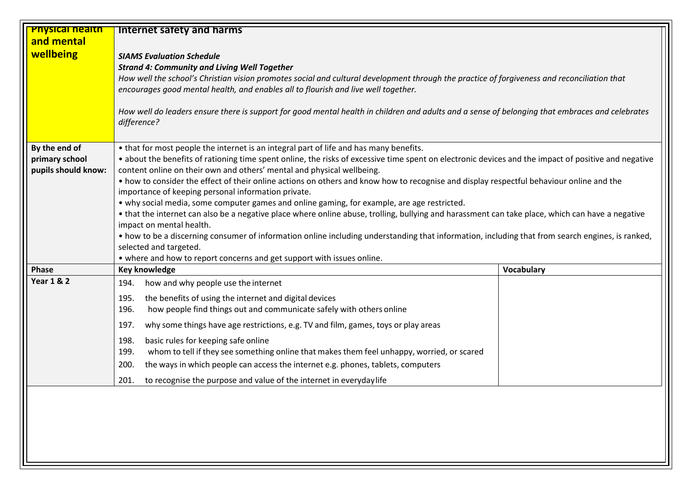| <b>Physical health</b> | <b>Internet safety and harms</b>                                                                                                                                                                                                       |                   |
|------------------------|----------------------------------------------------------------------------------------------------------------------------------------------------------------------------------------------------------------------------------------|-------------------|
| and mental             |                                                                                                                                                                                                                                        |                   |
| wellbeing              | <b>SIAMS Evaluation Schedule</b><br><b>Strand 4: Community and Living Well Together</b><br>How well the school's Christian vision promotes social and cultural development through the practice of forgiveness and reconciliation that |                   |
|                        | encourages good mental health, and enables all to flourish and live well together.                                                                                                                                                     |                   |
|                        | How well do leaders ensure there is support for good mental health in children and adults and a sense of belonging that embraces and celebrates<br>difference?                                                                         |                   |
| By the end of          | • that for most people the internet is an integral part of life and has many benefits.                                                                                                                                                 |                   |
| primary school         | • about the benefits of rationing time spent online, the risks of excessive time spent on electronic devices and the impact of positive and negative                                                                                   |                   |
| pupils should know:    | content online on their own and others' mental and physical wellbeing.                                                                                                                                                                 |                   |
|                        | • how to consider the effect of their online actions on others and know how to recognise and display respectful behaviour online and the<br>importance of keeping personal information private.                                        |                   |
|                        | • why social media, some computer games and online gaming, for example, are age restricted.                                                                                                                                            |                   |
|                        | • that the internet can also be a negative place where online abuse, trolling, bullying and harassment can take place, which can have a negative                                                                                       |                   |
|                        | impact on mental health.                                                                                                                                                                                                               |                   |
|                        | • how to be a discerning consumer of information online including understanding that information, including that from search engines, is ranked,                                                                                       |                   |
|                        | selected and targeted.                                                                                                                                                                                                                 |                   |
|                        | • where and how to report concerns and get support with issues online.                                                                                                                                                                 |                   |
| Phase                  | <b>Key knowledge</b>                                                                                                                                                                                                                   | <b>Vocabulary</b> |
| <b>Year 1 &amp; 2</b>  | how and why people use the internet<br>194.                                                                                                                                                                                            |                   |
|                        | the benefits of using the internet and digital devices<br>195.                                                                                                                                                                         |                   |
|                        | 196.<br>how people find things out and communicate safely with others online                                                                                                                                                           |                   |
|                        | 197.<br>why some things have age restrictions, e.g. TV and film, games, toys or play areas                                                                                                                                             |                   |
|                        | basic rules for keeping safe online<br>198.                                                                                                                                                                                            |                   |
|                        | whom to tell if they see something online that makes them feel unhappy, worried, or scared<br>199.                                                                                                                                     |                   |
|                        | 200.<br>the ways in which people can access the internet e.g. phones, tablets, computers                                                                                                                                               |                   |
|                        | 201.<br>to recognise the purpose and value of the internet in everyday life                                                                                                                                                            |                   |
|                        |                                                                                                                                                                                                                                        |                   |
|                        |                                                                                                                                                                                                                                        |                   |
|                        |                                                                                                                                                                                                                                        |                   |
|                        |                                                                                                                                                                                                                                        |                   |
|                        |                                                                                                                                                                                                                                        |                   |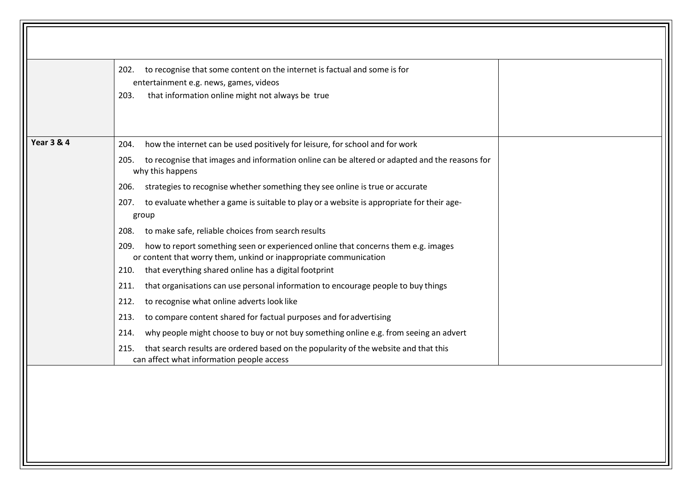|                       | entertainment e.g. news, games, videos<br>that information online might not always be true<br>203.                                                                                            |
|-----------------------|-----------------------------------------------------------------------------------------------------------------------------------------------------------------------------------------------|
| <b>Year 3 &amp; 4</b> | how the internet can be used positively for leisure, for school and for work<br>204.<br>to recognise that images and information online can be altered or adapted and the reasons for<br>205. |
|                       | why this happens                                                                                                                                                                              |
|                       | strategies to recognise whether something they see online is true or accurate<br>206.                                                                                                         |
|                       | 207. to evaluate whether a game is suitable to play or a website is appropriate for their age-<br>group                                                                                       |
|                       | to make safe, reliable choices from search results<br>208.                                                                                                                                    |
|                       | how to report something seen or experienced online that concerns them e.g. images<br>209.<br>or content that worry them, unkind or inappropriate communication                                |
|                       | that everything shared online has a digital footprint<br>210.<br>that organisations can use personal information to encourage people to buy things<br>211.                                    |
|                       | to recognise what online adverts look like<br>212.                                                                                                                                            |
|                       | to compare content shared for factual purposes and for advertising<br>213.                                                                                                                    |
|                       | why people might choose to buy or not buy something online e.g. from seeing an advert<br>214.                                                                                                 |
|                       | that search results are ordered based on the popularity of the website and that this<br>215.<br>can affect what information people access                                                     |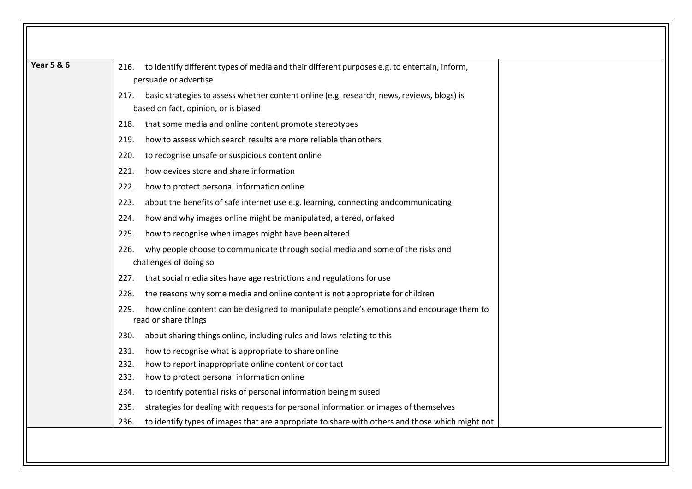| <b>Year 5 &amp; 6</b> | to identify different types of media and their different purposes e.g. to entertain, inform,<br>216.<br>persuade or advertise              |
|-----------------------|--------------------------------------------------------------------------------------------------------------------------------------------|
|                       | basic strategies to assess whether content online (e.g. research, news, reviews, blogs) is<br>217.<br>based on fact, opinion, or is biased |
|                       | that some media and online content promote stereotypes<br>218.                                                                             |
|                       | how to assess which search results are more reliable than others<br>219.                                                                   |
|                       | to recognise unsafe or suspicious content online<br>220.                                                                                   |
|                       | how devices store and share information<br>221.                                                                                            |
|                       | how to protect personal information online<br>222.                                                                                         |
|                       | about the benefits of safe internet use e.g. learning, connecting and communicating<br>223.                                                |
|                       | how and why images online might be manipulated, altered, orfaked<br>224.                                                                   |
|                       | how to recognise when images might have been altered<br>225.                                                                               |
|                       | why people choose to communicate through social media and some of the risks and<br>226.<br>challenges of doing so                          |
|                       | that social media sites have age restrictions and regulations for use<br>227.                                                              |
|                       | the reasons why some media and online content is not appropriate for children<br>228.                                                      |
|                       | how online content can be designed to manipulate people's emotions and encourage them to<br>229.<br>read or share things                   |
|                       | about sharing things online, including rules and laws relating to this<br>230.                                                             |
|                       | 231.<br>how to recognise what is appropriate to share online                                                                               |
|                       | how to report inappropriate online content or contact<br>232.                                                                              |
|                       | 233.<br>how to protect personal information online                                                                                         |
|                       | to identify potential risks of personal information being misused<br>234.                                                                  |
|                       | strategies for dealing with requests for personal information or images of themselves<br>235.                                              |
|                       | to identify types of images that are appropriate to share with others and those which might not<br>236.                                    |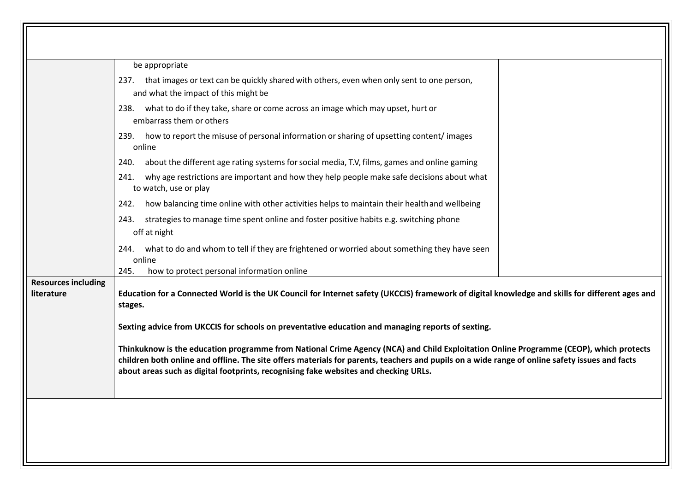|                            | strategies to manage time spent online and foster positive habits e.g. switching phone<br>243.<br>off at night                                                                                                                    |
|----------------------------|-----------------------------------------------------------------------------------------------------------------------------------------------------------------------------------------------------------------------------------|
| <b>Resources including</b> | 244. what to do and whom to tell if they are frightened or worried about something they have seen<br>online<br>how to protect personal information online<br>245.                                                                 |
|                            |                                                                                                                                                                                                                                   |
|                            | how balancing time online with other activities helps to maintain their health and wellbeing<br>242.                                                                                                                              |
|                            | why age restrictions are important and how they help people make safe decisions about what<br>241.<br>to watch, use or play                                                                                                       |
|                            | about the different age rating systems for social media, T.V, films, games and online gaming<br>240.                                                                                                                              |
|                            | embarrass them or others<br>how to report the misuse of personal information or sharing of upsetting content/images<br>239.<br>online                                                                                             |
|                            | 237. that images or text can be quickly shared with others, even when only sent to one person,<br>and what the impact of this might be<br>what to do if they take, share or come across an image which may upset, hurt or<br>238. |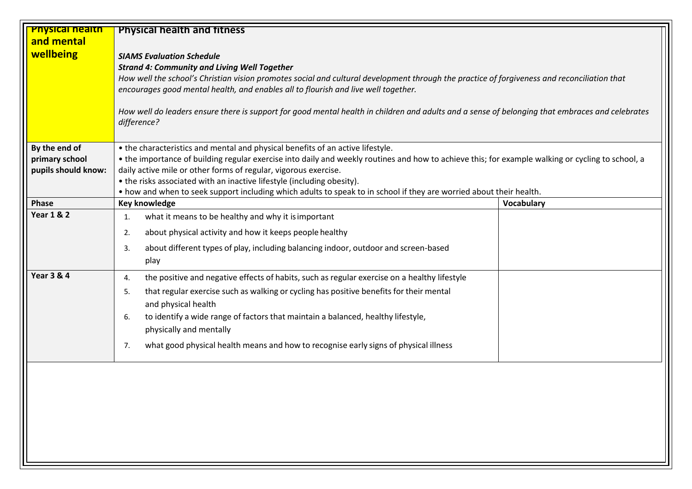| <b>Physical nealth</b><br>and mental<br>wellbeing      | <b>Physical health and fitness</b><br><b>SIAMS Evaluation Schedule</b><br><b>Strand 4: Community and Living Well Together</b><br>How well the school's Christian vision promotes social and cultural development through the practice of forgiveness and reconciliation that<br>encourages good mental health, and enables all to flourish and live well together.<br>How well do leaders ensure there is support for good mental health in children and adults and a sense of belonging that embraces and celebrates<br>difference? |                   |
|--------------------------------------------------------|--------------------------------------------------------------------------------------------------------------------------------------------------------------------------------------------------------------------------------------------------------------------------------------------------------------------------------------------------------------------------------------------------------------------------------------------------------------------------------------------------------------------------------------|-------------------|
| By the end of<br>primary school<br>pupils should know: | • the characteristics and mental and physical benefits of an active lifestyle.<br>• the importance of building regular exercise into daily and weekly routines and how to achieve this; for example walking or cycling to school, a<br>daily active mile or other forms of regular, vigorous exercise.<br>• the risks associated with an inactive lifestyle (including obesity).<br>• how and when to seek support including which adults to speak to in school if they are worried about their health.                              |                   |
| Phase                                                  | Key knowledge                                                                                                                                                                                                                                                                                                                                                                                                                                                                                                                        | <b>Vocabulary</b> |
| <b>Year 1 &amp; 2</b>                                  | what it means to be healthy and why it is important<br>1.<br>about physical activity and how it keeps people healthy<br>2.<br>about different types of play, including balancing indoor, outdoor and screen-based<br>3.<br>play                                                                                                                                                                                                                                                                                                      |                   |
| <b>Year 3 &amp; 4</b>                                  | the positive and negative effects of habits, such as regular exercise on a healthy lifestyle<br>4.<br>that regular exercise such as walking or cycling has positive benefits for their mental<br>5.<br>and physical health<br>to identify a wide range of factors that maintain a balanced, healthy lifestyle,<br>6.<br>physically and mentally<br>what good physical health means and how to recognise early signs of physical illness<br>7.                                                                                        |                   |
|                                                        |                                                                                                                                                                                                                                                                                                                                                                                                                                                                                                                                      |                   |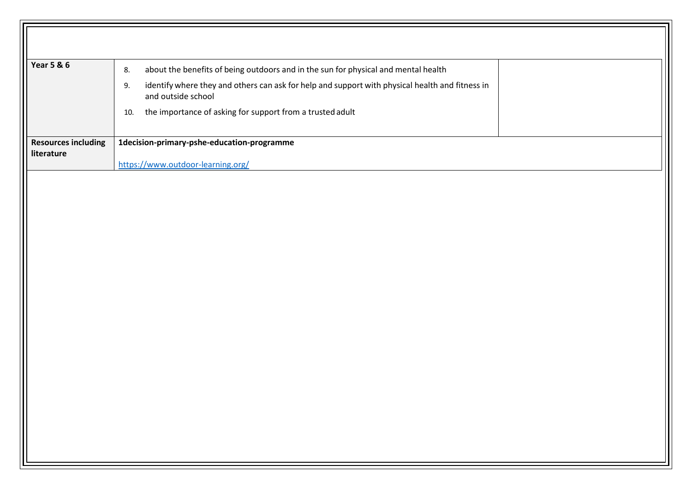| <b>Year 5 &amp; 6</b>                    | about the benefits of being outdoors and in the sun for physical and mental health<br>8.                                    |
|------------------------------------------|-----------------------------------------------------------------------------------------------------------------------------|
|                                          | identify where they and others can ask for help and support with physical health and fitness in<br>9.<br>and outside school |
|                                          | the importance of asking for support from a trusted adult<br>10.                                                            |
| <b>Resources including</b><br>literature | 1decision-primary-pshe-education-programme                                                                                  |
|                                          | https://www.outdoor-learning.org/                                                                                           |
|                                          |                                                                                                                             |
|                                          |                                                                                                                             |
|                                          |                                                                                                                             |
|                                          |                                                                                                                             |
|                                          |                                                                                                                             |
|                                          |                                                                                                                             |
|                                          |                                                                                                                             |
|                                          |                                                                                                                             |
|                                          |                                                                                                                             |
|                                          |                                                                                                                             |
|                                          |                                                                                                                             |
|                                          |                                                                                                                             |
|                                          |                                                                                                                             |
|                                          |                                                                                                                             |
|                                          |                                                                                                                             |
|                                          |                                                                                                                             |
|                                          |                                                                                                                             |
|                                          |                                                                                                                             |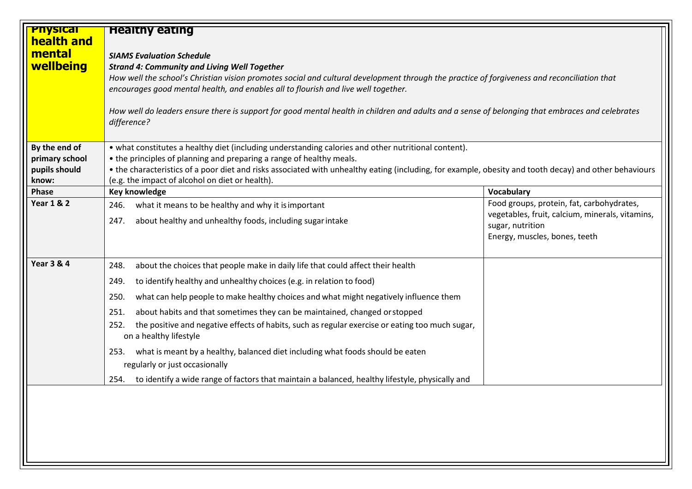| <b>Physical</b><br>health and         | <b>Healthy eating</b>                                                                                                                                  |                                                 |
|---------------------------------------|--------------------------------------------------------------------------------------------------------------------------------------------------------|-------------------------------------------------|
| mental                                | <b>SIAMS Evaluation Schedule</b>                                                                                                                       |                                                 |
| wellbeing                             | <b>Strand 4: Community and Living Well Together</b>                                                                                                    |                                                 |
|                                       | How well the school's Christian vision promotes social and cultural development through the practice of forgiveness and reconciliation that            |                                                 |
|                                       | encourages good mental health, and enables all to flourish and live well together.                                                                     |                                                 |
|                                       | How well do leaders ensure there is support for good mental health in children and adults and a sense of belonging that embraces and celebrates        |                                                 |
|                                       | difference?                                                                                                                                            |                                                 |
|                                       |                                                                                                                                                        |                                                 |
| By the end of                         | • what constitutes a healthy diet (including understanding calories and other nutritional content).                                                    |                                                 |
| primary school                        | • the principles of planning and preparing a range of healthy meals.                                                                                   |                                                 |
| pupils should                         | • the characteristics of a poor diet and risks associated with unhealthy eating (including, for example, obesity and tooth decay) and other behaviours |                                                 |
| know:                                 | (e.g. the impact of alcohol on diet or health).<br><b>Key knowledge</b>                                                                                | <b>Vocabulary</b>                               |
| <b>Phase</b><br><b>Year 1 &amp; 2</b> | what it means to be healthy and why it is important<br>246.                                                                                            | Food groups, protein, fat, carbohydrates,       |
|                                       |                                                                                                                                                        | vegetables, fruit, calcium, minerals, vitamins, |
|                                       | about healthy and unhealthy foods, including sugar intake<br>247.                                                                                      | sugar, nutrition                                |
|                                       |                                                                                                                                                        | Energy, muscles, bones, teeth                   |
|                                       |                                                                                                                                                        |                                                 |
| <b>Year 3 &amp; 4</b>                 | about the choices that people make in daily life that could affect their health<br>248.                                                                |                                                 |
|                                       | to identify healthy and unhealthy choices (e.g. in relation to food)<br>249.                                                                           |                                                 |
|                                       | what can help people to make healthy choices and what might negatively influence them<br>250.                                                          |                                                 |
|                                       | about habits and that sometimes they can be maintained, changed or stopped<br>251.                                                                     |                                                 |
|                                       | the positive and negative effects of habits, such as regular exercise or eating too much sugar,<br>252.<br>on a healthy lifestyle                      |                                                 |
|                                       | what is meant by a healthy, balanced diet including what foods should be eaten<br>253.                                                                 |                                                 |
|                                       | regularly or just occasionally                                                                                                                         |                                                 |
|                                       | to identify a wide range of factors that maintain a balanced, healthy lifestyle, physically and<br>254.                                                |                                                 |
|                                       |                                                                                                                                                        |                                                 |
|                                       |                                                                                                                                                        |                                                 |
|                                       |                                                                                                                                                        |                                                 |
|                                       |                                                                                                                                                        |                                                 |
|                                       |                                                                                                                                                        |                                                 |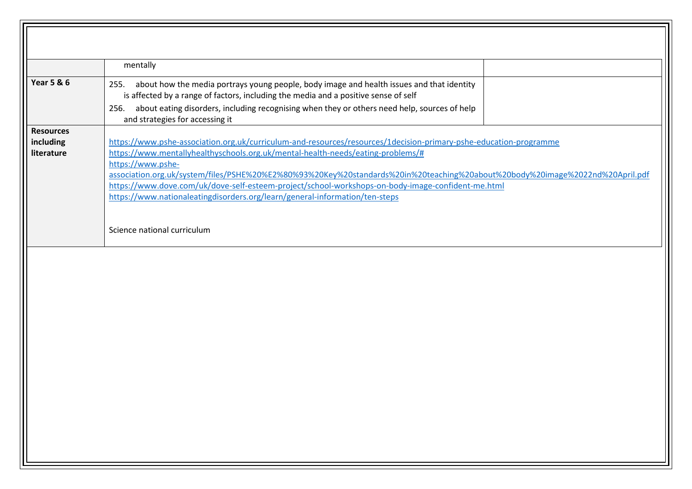|                                             | mentally                                                                                                                                                                                                                                                                                                                                                                                                                                                       |
|---------------------------------------------|----------------------------------------------------------------------------------------------------------------------------------------------------------------------------------------------------------------------------------------------------------------------------------------------------------------------------------------------------------------------------------------------------------------------------------------------------------------|
| <b>Year 5 &amp; 6</b>                       | 255. about how the media portrays young people, body image and health issues and that identity<br>is affected by a range of factors, including the media and a positive sense of self<br>256. about eating disorders, including recognising when they or others need help, sources of help<br>and strategies for accessing it                                                                                                                                  |
| <b>Resources</b><br>including<br>literature | https://www.pshe-association.org.uk/curriculum-and-resources/resources/1decision-primary-pshe-education-programme<br>https://www.mentallyhealthyschools.org.uk/mental-health-needs/eating-problems/#<br>https://www.pshe-<br>association.org.uk/system/files/PSHE%20%E2%80%93%20Key%20standards%20in%20teaching%20about%20body%20image%2022nd%20April.pdf<br>https://www.dove.com/uk/dove-self-esteem-project/school-workshops-on-body-image-confident-me.html |
|                                             | https://www.nationaleatingdisorders.org/learn/general-information/ten-steps<br>Science national curriculum                                                                                                                                                                                                                                                                                                                                                     |
|                                             |                                                                                                                                                                                                                                                                                                                                                                                                                                                                |
|                                             |                                                                                                                                                                                                                                                                                                                                                                                                                                                                |
|                                             |                                                                                                                                                                                                                                                                                                                                                                                                                                                                |
|                                             |                                                                                                                                                                                                                                                                                                                                                                                                                                                                |
|                                             |                                                                                                                                                                                                                                                                                                                                                                                                                                                                |
|                                             |                                                                                                                                                                                                                                                                                                                                                                                                                                                                |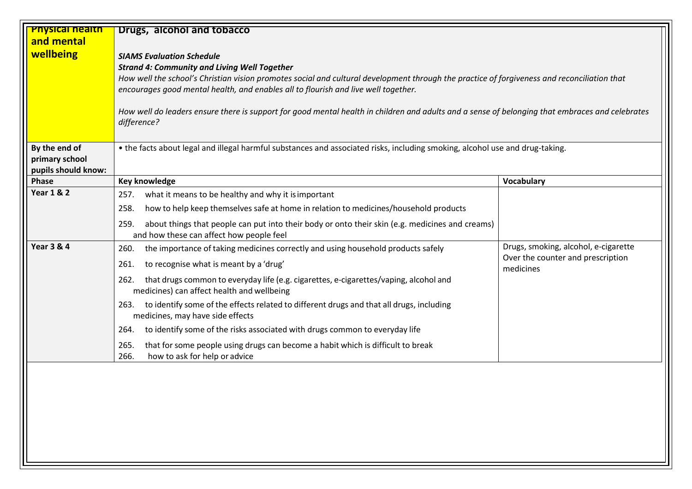| <b>Physical nealth</b><br>and mental<br>wellbeing      | Drugs, alcohol and tobacco<br><b>SIAMS Evaluation Schedule</b><br><b>Strand 4: Community and Living Well Together</b><br>How well the school's Christian vision promotes social and cultural development through the practice of forgiveness and reconciliation that<br>encourages good mental health, and enables all to flourish and live well together.<br>How well do leaders ensure there is support for good mental health in children and adults and a sense of belonging that embraces and celebrates<br>difference?<br>• the facts about legal and illegal harmful substances and associated risks, including smoking, alcohol use and drug-taking. |                                                |  |
|--------------------------------------------------------|--------------------------------------------------------------------------------------------------------------------------------------------------------------------------------------------------------------------------------------------------------------------------------------------------------------------------------------------------------------------------------------------------------------------------------------------------------------------------------------------------------------------------------------------------------------------------------------------------------------------------------------------------------------|------------------------------------------------|--|
|                                                        |                                                                                                                                                                                                                                                                                                                                                                                                                                                                                                                                                                                                                                                              |                                                |  |
| By the end of<br>primary school<br>pupils should know: |                                                                                                                                                                                                                                                                                                                                                                                                                                                                                                                                                                                                                                                              |                                                |  |
| Phase                                                  | <b>Key knowledge</b>                                                                                                                                                                                                                                                                                                                                                                                                                                                                                                                                                                                                                                         | <b>Vocabulary</b>                              |  |
| <b>Year 1 &amp; 2</b>                                  | what it means to be healthy and why it is important<br>257.                                                                                                                                                                                                                                                                                                                                                                                                                                                                                                                                                                                                  |                                                |  |
|                                                        | how to help keep themselves safe at home in relation to medicines/household products<br>258.                                                                                                                                                                                                                                                                                                                                                                                                                                                                                                                                                                 |                                                |  |
|                                                        | about things that people can put into their body or onto their skin (e.g. medicines and creams)<br>259.<br>and how these can affect how people feel                                                                                                                                                                                                                                                                                                                                                                                                                                                                                                          |                                                |  |
| <b>Year 3 &amp; 4</b>                                  | the importance of taking medicines correctly and using household products safely<br>260.                                                                                                                                                                                                                                                                                                                                                                                                                                                                                                                                                                     | Drugs, smoking, alcohol, e-cigarette           |  |
|                                                        | to recognise what is meant by a 'drug'<br>261.                                                                                                                                                                                                                                                                                                                                                                                                                                                                                                                                                                                                               | Over the counter and prescription<br>medicines |  |
|                                                        | that drugs common to everyday life (e.g. cigarettes, e-cigarettes/vaping, alcohol and<br>262.<br>medicines) can affect health and wellbeing                                                                                                                                                                                                                                                                                                                                                                                                                                                                                                                  |                                                |  |
|                                                        | 263. to identify some of the effects related to different drugs and that all drugs, including<br>medicines, may have side effects                                                                                                                                                                                                                                                                                                                                                                                                                                                                                                                            |                                                |  |
|                                                        | to identify some of the risks associated with drugs common to everyday life<br>264.                                                                                                                                                                                                                                                                                                                                                                                                                                                                                                                                                                          |                                                |  |
|                                                        | that for some people using drugs can become a habit which is difficult to break<br>265.<br>266.<br>how to ask for help or advice                                                                                                                                                                                                                                                                                                                                                                                                                                                                                                                             |                                                |  |
|                                                        |                                                                                                                                                                                                                                                                                                                                                                                                                                                                                                                                                                                                                                                              |                                                |  |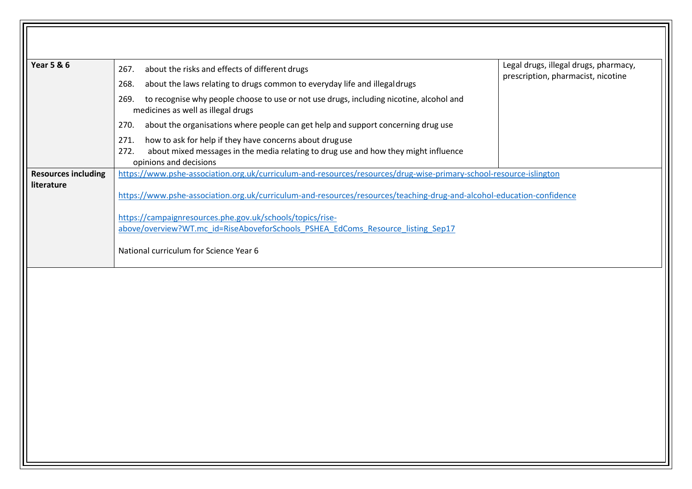| <b>Year 5 &amp; 6</b>                    | about the risks and effects of different drugs<br>267.<br>268.<br>about the laws relating to drugs common to everyday life and illegaldrugs<br>to recognise why people choose to use or not use drugs, including nicotine, alcohol and<br>269.<br>medicines as well as illegal drugs                                                                                                                                                  | Legal drugs, illegal drugs, pharmacy,<br>prescription, pharmacist, nicotine |
|------------------------------------------|---------------------------------------------------------------------------------------------------------------------------------------------------------------------------------------------------------------------------------------------------------------------------------------------------------------------------------------------------------------------------------------------------------------------------------------|-----------------------------------------------------------------------------|
|                                          | about the organisations where people can get help and support concerning drug use<br>270.<br>how to ask for help if they have concerns about druguse<br>271.<br>about mixed messages in the media relating to drug use and how they might influence<br>272.<br>opinions and decisions                                                                                                                                                 |                                                                             |
| <b>Resources including</b><br>literature | https://www.pshe-association.org.uk/curriculum-and-resources/resources/drug-wise-primary-school-resource-islington<br>https://www.pshe-association.org.uk/curriculum-and-resources/resources/teaching-drug-and-alcohol-education-confidence<br>https://campaignresources.phe.gov.uk/schools/topics/rise-<br>above/overview?WT.mc id=RiseAboveforSchools PSHEA EdComs Resource listing Sep17<br>National curriculum for Science Year 6 |                                                                             |
|                                          |                                                                                                                                                                                                                                                                                                                                                                                                                                       |                                                                             |
|                                          |                                                                                                                                                                                                                                                                                                                                                                                                                                       |                                                                             |
|                                          |                                                                                                                                                                                                                                                                                                                                                                                                                                       |                                                                             |

 $\overline{\phantom{a}}$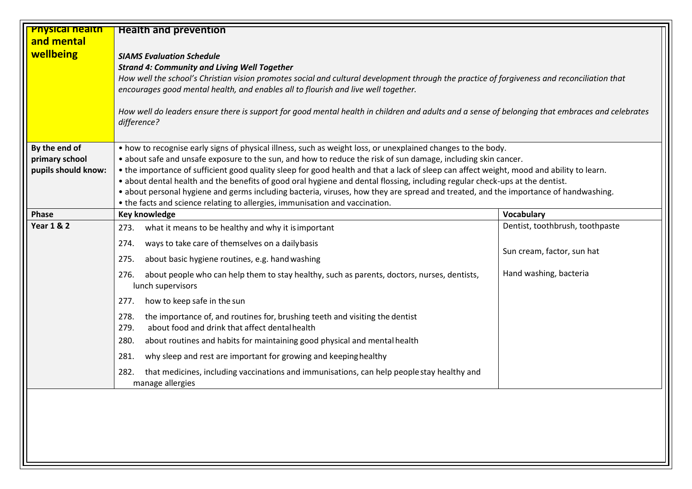| <b>Physical health</b> | <b>Health and prevention</b>                                                                                                                                                                                                                                        |                                 |  |
|------------------------|---------------------------------------------------------------------------------------------------------------------------------------------------------------------------------------------------------------------------------------------------------------------|---------------------------------|--|
| and mental             |                                                                                                                                                                                                                                                                     |                                 |  |
| wellbeing              | <b>SIAMS Evaluation Schedule</b>                                                                                                                                                                                                                                    |                                 |  |
|                        | <b>Strand 4: Community and Living Well Together</b>                                                                                                                                                                                                                 |                                 |  |
|                        | How well the school's Christian vision promotes social and cultural development through the practice of forgiveness and reconciliation that                                                                                                                         |                                 |  |
|                        | encourages good mental health, and enables all to flourish and live well together.                                                                                                                                                                                  |                                 |  |
|                        | How well do leaders ensure there is support for good mental health in children and adults and a sense of belonging that embraces and celebrates                                                                                                                     |                                 |  |
|                        | difference?                                                                                                                                                                                                                                                         |                                 |  |
|                        |                                                                                                                                                                                                                                                                     |                                 |  |
| By the end of          | • how to recognise early signs of physical illness, such as weight loss, or unexplained changes to the body.                                                                                                                                                        |                                 |  |
| primary school         | • about safe and unsafe exposure to the sun, and how to reduce the risk of sun damage, including skin cancer.                                                                                                                                                       |                                 |  |
| pupils should know:    | • the importance of sufficient good quality sleep for good health and that a lack of sleep can affect weight, mood and ability to learn.                                                                                                                            |                                 |  |
|                        | • about dental health and the benefits of good oral hygiene and dental flossing, including regular check-ups at the dentist.<br>• about personal hygiene and germs including bacteria, viruses, how they are spread and treated, and the importance of handwashing. |                                 |  |
|                        | • the facts and science relating to allergies, immunisation and vaccination.                                                                                                                                                                                        |                                 |  |
| <b>Phase</b>           | <b>Key knowledge</b>                                                                                                                                                                                                                                                | Vocabulary                      |  |
| <b>Year 1 &amp; 2</b>  | what it means to be healthy and why it is important<br>273.                                                                                                                                                                                                         | Dentist, toothbrush, toothpaste |  |
|                        | ways to take care of themselves on a dailybasis<br>274.                                                                                                                                                                                                             | Sun cream, factor, sun hat      |  |
|                        | about basic hygiene routines, e.g. hand washing<br>275.                                                                                                                                                                                                             |                                 |  |
|                        | about people who can help them to stay healthy, such as parents, doctors, nurses, dentists,<br>276.<br>lunch supervisors                                                                                                                                            | Hand washing, bacteria          |  |
|                        | how to keep safe in the sun<br>277.                                                                                                                                                                                                                                 |                                 |  |
|                        | the importance of, and routines for, brushing teeth and visiting the dentist<br>278.<br>about food and drink that affect dental health<br>279.                                                                                                                      |                                 |  |
|                        | 280.<br>about routines and habits for maintaining good physical and mental health                                                                                                                                                                                   |                                 |  |
|                        | why sleep and rest are important for growing and keeping healthy<br>281.                                                                                                                                                                                            |                                 |  |
|                        | that medicines, including vaccinations and immunisations, can help people stay healthy and<br>282.<br>manage allergies                                                                                                                                              |                                 |  |
|                        |                                                                                                                                                                                                                                                                     |                                 |  |
|                        |                                                                                                                                                                                                                                                                     |                                 |  |
|                        |                                                                                                                                                                                                                                                                     |                                 |  |
|                        |                                                                                                                                                                                                                                                                     |                                 |  |
|                        |                                                                                                                                                                                                                                                                     |                                 |  |
|                        |                                                                                                                                                                                                                                                                     |                                 |  |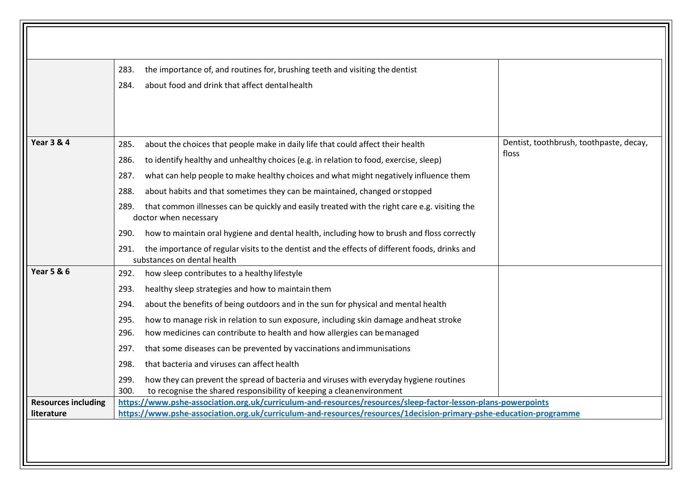|                                          | the importance of, and routines for, brushing teeth and visiting the dentist<br>283.<br>about food and drink that affect dental health<br>284.                                           |                                                  |
|------------------------------------------|------------------------------------------------------------------------------------------------------------------------------------------------------------------------------------------|--------------------------------------------------|
| <b>Year 3 &amp; 4</b>                    | about the choices that people make in daily life that could affect their health<br>285.<br>to identify healthy and unhealthy choices (e.g. in relation to food, exercise, sleep)<br>286. | Dentist, toothbrush, toothpaste, decay,<br>floss |
|                                          | what can help people to make healthy choices and what might negatively influence them<br>287.<br>about habits and that sometimes they can be maintained, changed or stopped<br>288.      |                                                  |
|                                          | that common illnesses can be quickly and easily treated with the right care e.g. visiting the<br>289.<br>doctor when necessary                                                           |                                                  |
|                                          | how to maintain oral hygiene and dental health, including how to brush and floss correctly<br>290.                                                                                       |                                                  |
|                                          | the importance of regular visits to the dentist and the effects of different foods, drinks and<br>291.<br>substances on dental health                                                    |                                                  |
| <b>Year 5 &amp; 6</b>                    | 292.<br>how sleep contributes to a healthy lifestyle                                                                                                                                     |                                                  |
|                                          | healthy sleep strategies and how to maintain them<br>293.                                                                                                                                |                                                  |
|                                          | about the benefits of being outdoors and in the sun for physical and mental health<br>294.                                                                                               |                                                  |
|                                          | how to manage risk in relation to sun exposure, including skin damage and heat stroke<br>295.<br>how medicines can contribute to health and how allergies can be managed<br>296.         |                                                  |
|                                          | that some diseases can be prevented by vaccinations and immunisations<br>297.                                                                                                            |                                                  |
|                                          | that bacteria and viruses can affect health<br>298.                                                                                                                                      |                                                  |
|                                          | 299.<br>how they can prevent the spread of bacteria and viruses with everyday hygiene routines<br>300.<br>to recognise the shared responsibility of keeping a cleanenvironment           |                                                  |
|                                          | https://www.pshe-association.org.uk/curriculum-and-resources/resources/sleep-factor-lesson-plans-powerpoints                                                                             |                                                  |
| <b>Resources including</b><br>literature | https://www.pshe-association.org.uk/curriculum-and-resources/resources/1decision-primary-pshe-education-programme                                                                        |                                                  |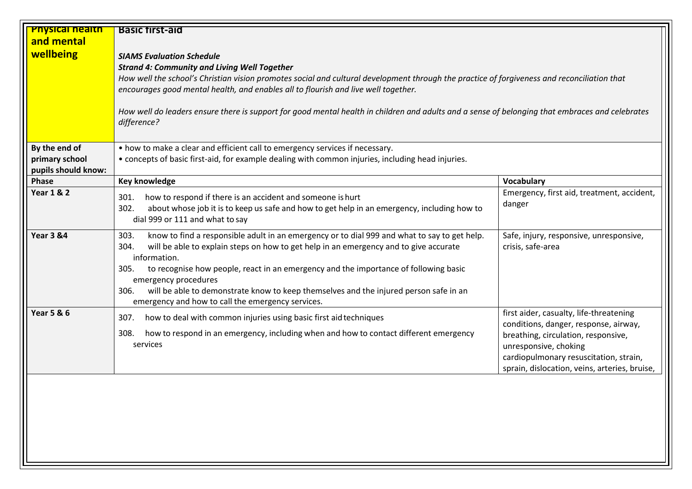| <b>Physical nealth</b> | <b>Basic first-aid</b>                                                                                                                                                                                                                                                                                                                                                                                                                                                                              |                                                                                                                                                                                                                                             |
|------------------------|-----------------------------------------------------------------------------------------------------------------------------------------------------------------------------------------------------------------------------------------------------------------------------------------------------------------------------------------------------------------------------------------------------------------------------------------------------------------------------------------------------|---------------------------------------------------------------------------------------------------------------------------------------------------------------------------------------------------------------------------------------------|
| and mental             |                                                                                                                                                                                                                                                                                                                                                                                                                                                                                                     |                                                                                                                                                                                                                                             |
| wellbeing              | <b>SIAMS Evaluation Schedule</b><br><b>Strand 4: Community and Living Well Together</b><br>How well the school's Christian vision promotes social and cultural development through the practice of forgiveness and reconciliation that<br>encourages good mental health, and enables all to flourish and live well together.<br>How well do leaders ensure there is support for good mental health in children and adults and a sense of belonging that embraces and celebrates<br>difference?      |                                                                                                                                                                                                                                             |
| By the end of          | • how to make a clear and efficient call to emergency services if necessary.                                                                                                                                                                                                                                                                                                                                                                                                                        |                                                                                                                                                                                                                                             |
| primary school         | • concepts of basic first-aid, for example dealing with common injuries, including head injuries.                                                                                                                                                                                                                                                                                                                                                                                                   |                                                                                                                                                                                                                                             |
| pupils should know:    |                                                                                                                                                                                                                                                                                                                                                                                                                                                                                                     |                                                                                                                                                                                                                                             |
| Phase                  | <b>Key knowledge</b>                                                                                                                                                                                                                                                                                                                                                                                                                                                                                | Vocabulary                                                                                                                                                                                                                                  |
| <b>Year 1 &amp; 2</b>  | how to respond if there is an accident and someone is hurt<br>301.<br>302.<br>about whose job it is to keep us safe and how to get help in an emergency, including how to<br>dial 999 or 111 and what to say                                                                                                                                                                                                                                                                                        | Emergency, first aid, treatment, accident,<br>danger                                                                                                                                                                                        |
| <b>Year 3 &amp;4</b>   | know to find a responsible adult in an emergency or to dial 999 and what to say to get help.<br>303.<br>will be able to explain steps on how to get help in an emergency and to give accurate<br>304.<br>information.<br>to recognise how people, react in an emergency and the importance of following basic<br>305.<br>emergency procedures<br>will be able to demonstrate know to keep themselves and the injured person safe in an<br>306.<br>emergency and how to call the emergency services. | Safe, injury, responsive, unresponsive,<br>crisis, safe-area                                                                                                                                                                                |
| <b>Year 5 &amp; 6</b>  | how to deal with common injuries using basic first aid techniques<br>307.<br>how to respond in an emergency, including when and how to contact different emergency<br>308.<br>services                                                                                                                                                                                                                                                                                                              | first aider, casualty, life-threatening<br>conditions, danger, response, airway,<br>breathing, circulation, responsive,<br>unresponsive, choking<br>cardiopulmonary resuscitation, strain,<br>sprain, dislocation, veins, arteries, bruise, |
|                        |                                                                                                                                                                                                                                                                                                                                                                                                                                                                                                     |                                                                                                                                                                                                                                             |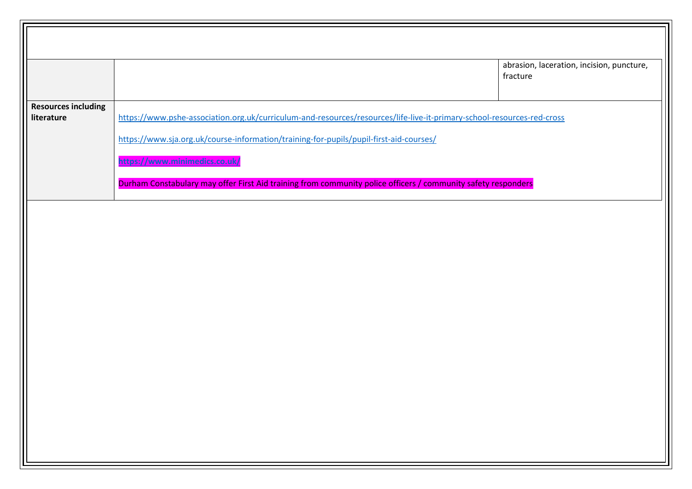|                            |                                                                                                                        | abrasion, laceration, incision, puncture,<br>fracture |
|----------------------------|------------------------------------------------------------------------------------------------------------------------|-------------------------------------------------------|
| <b>Resources including</b> |                                                                                                                        |                                                       |
| literature                 | https://www.pshe-association.org.uk/curriculum-and-resources/resources/life-live-it-primary-school-resources-red-cross |                                                       |
|                            | https://www.sja.org.uk/course-information/training-for-pupils/pupil-first-aid-courses/                                 |                                                       |
|                            | https://www.minimedics.co.uk/                                                                                          |                                                       |
|                            | Durham Constabulary may offer First Aid training from community police officers / community safety responders          |                                                       |
|                            |                                                                                                                        |                                                       |
|                            |                                                                                                                        |                                                       |
|                            |                                                                                                                        |                                                       |
|                            |                                                                                                                        |                                                       |
|                            |                                                                                                                        |                                                       |
|                            |                                                                                                                        |                                                       |
|                            |                                                                                                                        |                                                       |
|                            |                                                                                                                        |                                                       |
|                            |                                                                                                                        |                                                       |
|                            |                                                                                                                        |                                                       |
|                            |                                                                                                                        |                                                       |
|                            |                                                                                                                        |                                                       |
|                            |                                                                                                                        |                                                       |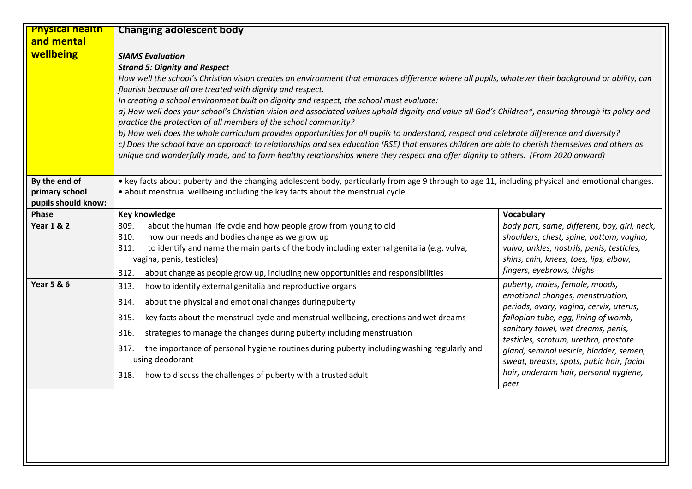| <b>Physical nealth</b> | <b>Changing adolescent body</b>                                                                                                                                                                                                                                                                                                                                                                                                                                                                                                                                                                                                                                                                                                                                                                                                                                                                                                                                                                                                                 |                                                                                                                                                                                                                                                                                                                                              |
|------------------------|-------------------------------------------------------------------------------------------------------------------------------------------------------------------------------------------------------------------------------------------------------------------------------------------------------------------------------------------------------------------------------------------------------------------------------------------------------------------------------------------------------------------------------------------------------------------------------------------------------------------------------------------------------------------------------------------------------------------------------------------------------------------------------------------------------------------------------------------------------------------------------------------------------------------------------------------------------------------------------------------------------------------------------------------------|----------------------------------------------------------------------------------------------------------------------------------------------------------------------------------------------------------------------------------------------------------------------------------------------------------------------------------------------|
| and mental             |                                                                                                                                                                                                                                                                                                                                                                                                                                                                                                                                                                                                                                                                                                                                                                                                                                                                                                                                                                                                                                                 |                                                                                                                                                                                                                                                                                                                                              |
| wellbeing              | <b>SIAMS Evaluation</b><br><b>Strand 5: Dignity and Respect</b><br>How well the school's Christian vision creates an environment that embraces difference where all pupils, whatever their background or ability, can<br>flourish because all are treated with dignity and respect.<br>In creating a school environment built on dignity and respect, the school must evaluate:<br>a) How well does your school's Christian vision and associated values uphold dignity and value all God's Children*, ensuring through its policy and<br>practice the protection of all members of the school community?<br>b) How well does the whole curriculum provides opportunities for all pupils to understand, respect and celebrate difference and diversity?<br>c) Does the school have an approach to relationships and sex education (RSE) that ensures children are able to cherish themselves and others as<br>unique and wonderfully made, and to form healthy relationships where they respect and offer dignity to others. (From 2020 onward) |                                                                                                                                                                                                                                                                                                                                              |
| By the end of          | • key facts about puberty and the changing adolescent body, particularly from age 9 through to age 11, including physical and emotional changes.                                                                                                                                                                                                                                                                                                                                                                                                                                                                                                                                                                                                                                                                                                                                                                                                                                                                                                |                                                                                                                                                                                                                                                                                                                                              |
| primary school         | • about menstrual wellbeing including the key facts about the menstrual cycle.                                                                                                                                                                                                                                                                                                                                                                                                                                                                                                                                                                                                                                                                                                                                                                                                                                                                                                                                                                  |                                                                                                                                                                                                                                                                                                                                              |
| pupils should know:    |                                                                                                                                                                                                                                                                                                                                                                                                                                                                                                                                                                                                                                                                                                                                                                                                                                                                                                                                                                                                                                                 |                                                                                                                                                                                                                                                                                                                                              |
| Phase                  | <b>Key knowledge</b>                                                                                                                                                                                                                                                                                                                                                                                                                                                                                                                                                                                                                                                                                                                                                                                                                                                                                                                                                                                                                            | <b>Vocabulary</b>                                                                                                                                                                                                                                                                                                                            |
| <b>Year 1 &amp; 2</b>  | about the human life cycle and how people grow from young to old<br>309.<br>310.<br>how our needs and bodies change as we grow up<br>311.<br>to identify and name the main parts of the body including external genitalia (e.g. vulva,<br>vagina, penis, testicles)<br>about change as people grow up, including new opportunities and responsibilities<br>312.                                                                                                                                                                                                                                                                                                                                                                                                                                                                                                                                                                                                                                                                                 | body part, same, different, boy, girl, neck,<br>shoulders, chest, spine, bottom, vagina,<br>vulva, ankles, nostrils, penis, testicles,<br>shins, chin, knees, toes, lips, elbow,<br>fingers, eyebrows, thighs                                                                                                                                |
| <b>Year 5 &amp; 6</b>  | how to identify external genitalia and reproductive organs<br>313.                                                                                                                                                                                                                                                                                                                                                                                                                                                                                                                                                                                                                                                                                                                                                                                                                                                                                                                                                                              | puberty, males, female, moods,                                                                                                                                                                                                                                                                                                               |
|                        | 314.<br>about the physical and emotional changes during puberty<br>key facts about the menstrual cycle and menstrual wellbeing, erections and wet dreams<br>315.<br>316.<br>strategies to manage the changes during puberty including menstruation<br>the importance of personal hygiene routines during puberty including washing regularly and<br>317.<br>using deodorant<br>how to discuss the challenges of puberty with a trusted adult<br>318.                                                                                                                                                                                                                                                                                                                                                                                                                                                                                                                                                                                            | emotional changes, menstruation,<br>periods, ovary, vagina, cervix, uterus,<br>fallopian tube, egg, lining of womb,<br>sanitary towel, wet dreams, penis,<br>testicles, scrotum, urethra, prostate<br>gland, seminal vesicle, bladder, semen,<br>sweat, breasts, spots, pubic hair, facial<br>hair, underarm hair, personal hygiene,<br>peer |
|                        |                                                                                                                                                                                                                                                                                                                                                                                                                                                                                                                                                                                                                                                                                                                                                                                                                                                                                                                                                                                                                                                 |                                                                                                                                                                                                                                                                                                                                              |